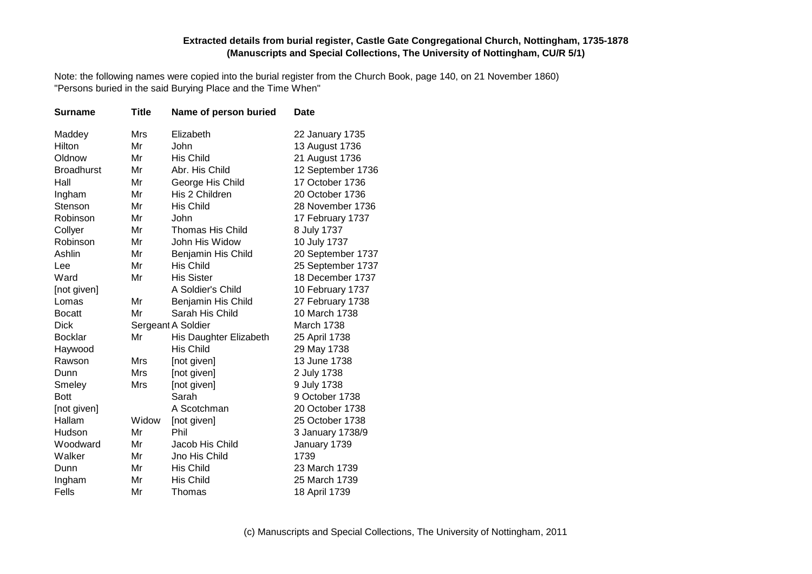Note: the following names were copied into the burial register from the Church Book, page 140, on 21 November 1860) "Persons buried in the said Burying Place and the Time When"

| <b>Surname</b>    | <b>Title</b> | Name of person buried   | <b>Date</b>       |
|-------------------|--------------|-------------------------|-------------------|
| Maddey            | <b>Mrs</b>   | Elizabeth               | 22 January 1735   |
| Hilton            | Mr           | John                    | 13 August 1736    |
| Oldnow            | Mr           | <b>His Child</b>        | 21 August 1736    |
| <b>Broadhurst</b> | Mr           | Abr. His Child          | 12 September 1736 |
| Hall              | Mr           | George His Child        | 17 October 1736   |
| Ingham            | Mr           | His 2 Children          | 20 October 1736   |
| Stenson           | Mr           | <b>His Child</b>        | 28 November 1736  |
| Robinson          | Mr           | John                    | 17 February 1737  |
| Collyer           | Mr           | <b>Thomas His Child</b> | 8 July 1737       |
| Robinson          | Mr           | John His Widow          | 10 July 1737      |
| Ashlin            | Mr           | Benjamin His Child      | 20 September 1737 |
| Lee               | Mr           | His Child               | 25 September 1737 |
| Ward              | Mr           | <b>His Sister</b>       | 18 December 1737  |
| [not given]       |              | A Soldier's Child       | 10 February 1737  |
| Lomas             | Mr           | Benjamin His Child      | 27 February 1738  |
| <b>Bocatt</b>     | Mr           | Sarah His Child         | 10 March 1738     |
| <b>Dick</b>       |              | Sergeant A Soldier      | March 1738        |
| <b>Bocklar</b>    | Mr           | His Daughter Elizabeth  | 25 April 1738     |
| Haywood           |              | <b>His Child</b>        | 29 May 1738       |
| Rawson            | Mrs          | [not given]             | 13 June 1738      |
| Dunn              | Mrs          | [not given]             | 2 July 1738       |
| Smeley            | Mrs          | [not given]             | 9 July 1738       |
| <b>Bott</b>       |              | Sarah                   | 9 October 1738    |
| [not given]       |              | A Scotchman             | 20 October 1738   |
| Hallam            | Widow        | [not given]             | 25 October 1738   |
| Hudson            | Mr           | Phil                    | 3 January 1738/9  |
| Woodward          | Mr           | Jacob His Child         | January 1739      |
| Walker            | Mr           | Jno His Child           | 1739              |
| Dunn              | Mr           | <b>His Child</b>        | 23 March 1739     |
| Ingham            | Mr           | <b>His Child</b>        | 25 March 1739     |
| Fells             | Mr           | Thomas                  | 18 April 1739     |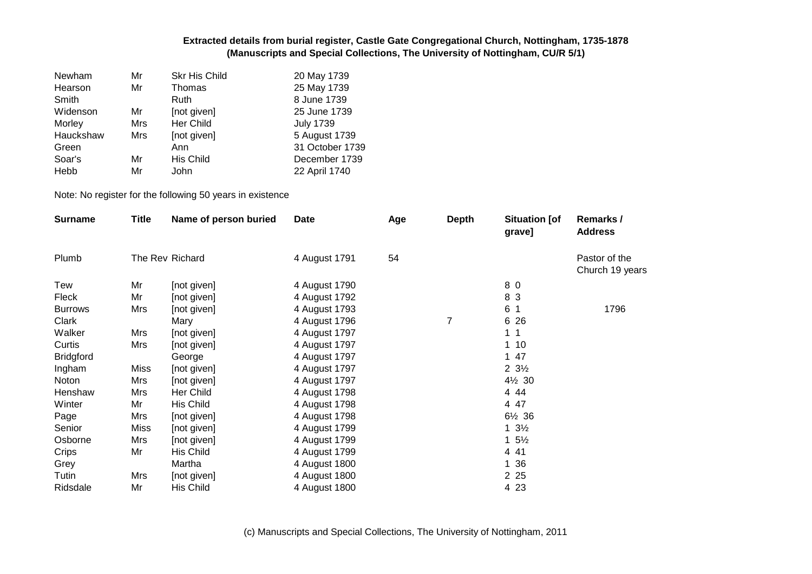| Mr         | <b>Skr His Child</b> | 20 May 1739      |
|------------|----------------------|------------------|
| Mr         | Thomas               | 25 May 1739      |
|            | Ruth                 | 8 June 1739      |
| Mr         | [not given]          | 25 June 1739     |
| Mrs        | Her Child            | <b>July 1739</b> |
| <b>Mrs</b> | [not given]          | 5 August 1739    |
|            | Ann                  | 31 October 1739  |
| Mr         | His Child            | December 1739    |
| Mr         | John                 | 22 April 1740    |
|            |                      |                  |

Note: No register for the following 50 years in existence

| <b>Surname</b>   | <b>Title</b> | Name of person buried | Date          | Age | <b>Depth</b> | <b>Situation [of</b><br>grave] | Remarks /<br><b>Address</b>      |
|------------------|--------------|-----------------------|---------------|-----|--------------|--------------------------------|----------------------------------|
| Plumb            |              | The Rev Richard       | 4 August 1791 | 54  |              |                                | Pastor of the<br>Church 19 years |
| Tew              | Mr           | [not given]           | 4 August 1790 |     |              | 8 0                            |                                  |
| Fleck            | Mr           | [not given]           | 4 August 1792 |     |              | 8 3                            |                                  |
| <b>Burrows</b>   | Mrs          | [not given]           | 4 August 1793 |     |              | 6 1                            | 1796                             |
| Clark            |              | Mary                  | 4 August 1796 |     | 7            | 6 26                           |                                  |
| Walker           | Mrs          | [not given]           | 4 August 1797 |     |              | 1 <sub>1</sub>                 |                                  |
| Curtis           | Mrs          | [not given]           | 4 August 1797 |     |              | 110                            |                                  |
| <b>Bridgford</b> |              | George                | 4 August 1797 |     |              | 1 47                           |                                  |
| Ingham           | <b>Miss</b>  | [not given]           | 4 August 1797 |     |              | $2 \frac{3}{2}$                |                                  |
| Noton            | Mrs          | [not given]           | 4 August 1797 |     |              | 4½ 30                          |                                  |
| Henshaw          | Mrs          | Her Child             | 4 August 1798 |     |              | 4 4 4                          |                                  |
| Winter           | Mr           | His Child             | 4 August 1798 |     |              | 4 47                           |                                  |
| Page             | Mrs          | [not given]           | 4 August 1798 |     |              | 6½ 36                          |                                  |
| Senior           | <b>Miss</b>  | [not given]           | 4 August 1799 |     |              | $1 \frac{3}{2}$                |                                  |
| Osborne          | Mrs          | [not given]           | 4 August 1799 |     |              | $1\,5\%$                       |                                  |
| Crips            | Mr           | His Child             | 4 August 1799 |     |              | 4 4 1                          |                                  |
| Grey             |              | Martha                | 4 August 1800 |     |              | 1 36                           |                                  |
| Tutin            | Mrs          | [not given]           | 4 August 1800 |     |              | 2 2 5                          |                                  |
| Ridsdale         | Mr           | His Child             | 4 August 1800 |     |              | 4 2 3                          |                                  |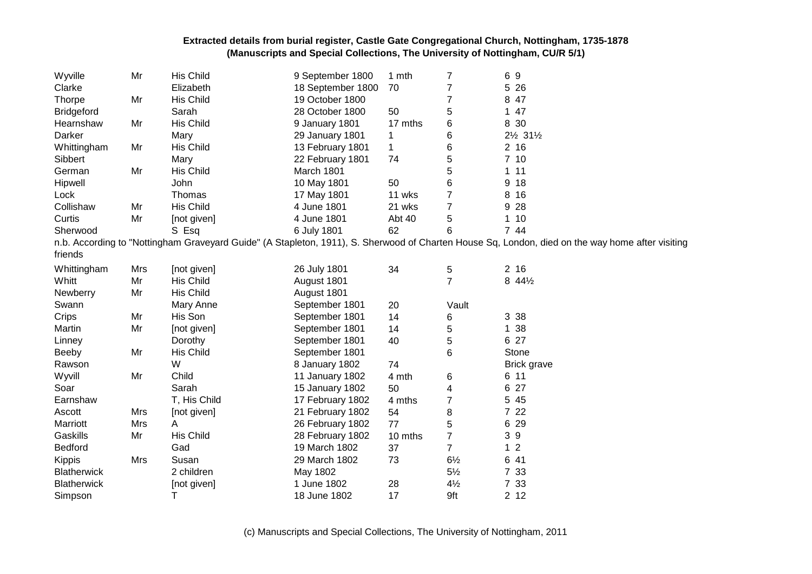| Wyville            | Mr  | His Child    | 9 September 1800  | 1 mth        | 7              | 69                                                                                                                                               |
|--------------------|-----|--------------|-------------------|--------------|----------------|--------------------------------------------------------------------------------------------------------------------------------------------------|
| Clarke             |     | Elizabeth    | 18 September 1800 | 70           | 7              | 5<br>26                                                                                                                                          |
| <b>Thorpe</b>      | Mr  | His Child    | 19 October 1800   |              | 7              | 8<br>47                                                                                                                                          |
| <b>Bridgeford</b>  |     | Sarah        | 28 October 1800   | 50           | 5              | 47<br>1                                                                                                                                          |
| Hearnshaw          | Mr  | His Child    | 9 January 1801    | 17 mths      | 6              | 8 30                                                                                                                                             |
| Darker             |     | Mary         | 29 January 1801   | 1            | 6              | 21/ <sub>2</sub> 311/ <sub>2</sub>                                                                                                               |
| Whittingham        | Mr  | His Child    | 13 February 1801  | $\mathbf{1}$ | 6              | 2 <sub>16</sub>                                                                                                                                  |
| Sibbert            |     | Mary         | 22 February 1801  | 74           | 5              | 710                                                                                                                                              |
| German             | Mr  | His Child    | March 1801        |              | 5              | 11<br>1.                                                                                                                                         |
| Hipwell            |     | John         | 10 May 1801       | 50           | 6              | 18<br>9                                                                                                                                          |
| Lock               |     | Thomas       | 17 May 1801       | 11 wks       | 7              | 16<br>8                                                                                                                                          |
| Collishaw          | Mr  | His Child    | 4 June 1801       | 21 wks       | 7              | 28<br>9                                                                                                                                          |
| Curtis             | Mr  | [not given]  | 4 June 1801       | Abt 40       | 5              | $\mathbf{1}$<br>10                                                                                                                               |
| Sherwood           |     | S Esq        | 6 July 1801       | 62           | 6              | 7 44                                                                                                                                             |
| friends            |     |              |                   |              |                | n.b. According to "Nottingham Graveyard Guide" (A Stapleton, 1911), S. Sherwood of Charten House Sq, London, died on the way home after visiting |
|                    |     |              |                   |              |                |                                                                                                                                                  |
| Whittingham        | Mrs | [not given]  | 26 July 1801      | 34           | 5              | 216                                                                                                                                              |
| Whitt              | Mr  | His Child    | August 1801       |              | $\overline{7}$ | 8 441/2                                                                                                                                          |
| Newberry           | Mr  | His Child    | August 1801       |              |                |                                                                                                                                                  |
| Swann              |     | Mary Anne    | September 1801    | 20           | Vault          |                                                                                                                                                  |
| Crips              | Mr  | His Son      | September 1801    | 14           | 6              | 3<br>38                                                                                                                                          |
| Martin             | Mr  | [not given]  | September 1801    | 14           | 5              | 38<br>$\mathbf{1}$                                                                                                                               |
| Linney             |     | Dorothy      | September 1801    | 40           | 5              | 6 27                                                                                                                                             |
| Beeby              | Mr  | His Child    | September 1801    |              | 6              | Stone                                                                                                                                            |
| Rawson             |     | W            | 8 January 1802    | 74           |                | <b>Brick grave</b>                                                                                                                               |
| Wyvill             | Mr  | Child        | 11 January 1802   | 4 mth        | 6              | 6 11                                                                                                                                             |
| Soar               |     | Sarah        | 15 January 1802   | 50           | 4              | 27<br>6                                                                                                                                          |
| Earnshaw           |     | T, His Child | 17 February 1802  | 4 mths       | 7              | 5<br>45                                                                                                                                          |
| Ascott             | Mrs | [not given]  | 21 February 1802  | 54           | 8              | 7 22                                                                                                                                             |
| Marriott           | Mrs | A            | 26 February 1802  | 77           | 5              | 29<br>6                                                                                                                                          |
| Gaskills           | Mr  | His Child    | 28 February 1802  | 10 mths      | $\overline{7}$ | 39                                                                                                                                               |
| Bedford            |     | Gad          | 19 March 1802     | 37           | $\overline{7}$ | $\overline{2}$<br>$\mathbf{1}$                                                                                                                   |
| Kippis             | Mrs | Susan        | 29 March 1802     | 73           | $6\frac{1}{2}$ | 6 41                                                                                                                                             |
| <b>Blatherwick</b> |     | 2 children   | May 1802          |              | $5\frac{1}{2}$ | 7 33                                                                                                                                             |
| <b>Blatherwick</b> |     | [not given]  | 1 June 1802       | 28           | $4\frac{1}{2}$ | 7 33                                                                                                                                             |
| Simpson            |     | Τ            | 18 June 1802      | 17           | 9ft            | 2 <sub>12</sub>                                                                                                                                  |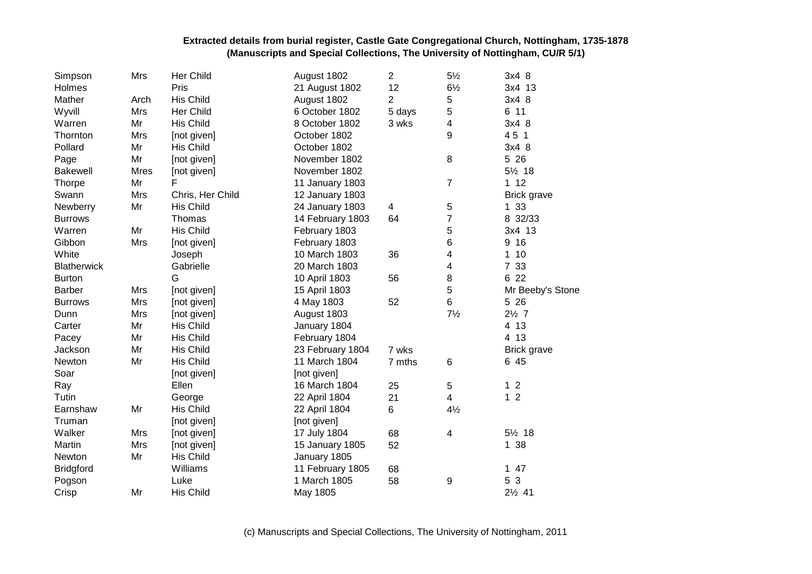| Simpson            | Mrs         | Her Child        | August 1802      | $\overline{2}$ | $5\frac{1}{2}$ | 3x4 8             |
|--------------------|-------------|------------------|------------------|----------------|----------------|-------------------|
| Holmes             |             | Pris             | 21 August 1802   | 12             | $6\frac{1}{2}$ | 3x4 13            |
| Mather             | Arch        | His Child        | August 1802      | 2              | 5              | 3x4 8             |
| Wyvill             | <b>Mrs</b>  | Her Child        | 6 October 1802   | 5 days         | 5              | 6 11              |
| Warren             | Mr          | His Child        | 8 October 1802   | 3 wks          | 4              | 3x4 8             |
| Thornton           | Mrs         | [not given]      | October 1802     |                | 9              | 45 1              |
| Pollard            | Mr          | His Child        | October 1802     |                |                | 3x4 8             |
| Page               | Mr          | [not given]      | November 1802    |                | 8              | 5 26              |
| <b>Bakewell</b>    | <b>Mres</b> | [not given]      | November 1802    |                |                | 5½ 18             |
| Thorpe             | Mr          | F                | 11 January 1803  |                | $\overline{7}$ | 112               |
| Swann              | Mrs         | Chris, Her Child | 12 January 1803  |                |                | Brick grave       |
| Newberry           | Mr          | His Child        | 24 January 1803  | 4              | 5              | 1 33              |
| <b>Burrows</b>     |             | Thomas           | 14 February 1803 | 64             | $\overline{7}$ | 8 32/33           |
| Warren             | Mr          | His Child        | February 1803    |                | 5              | 3x4 13            |
| Gibbon             | Mrs         | [not given]      | February 1803    |                | 6              | 9 16              |
| White              |             | Joseph           | 10 March 1803    | 36             | 4              | 10<br>1           |
| <b>Blatherwick</b> |             | Gabrielle        | 20 March 1803    |                | 4              | 7 33              |
| <b>Burton</b>      |             | G                | 10 April 1803    | 56             | 8              | 6 22              |
| <b>Barber</b>      | Mrs         | [not given]      | 15 April 1803    |                | 5              | Mr Beeby's Stone  |
| <b>Burrows</b>     | Mrs         | [not given]      | 4 May 1803       | 52             | 6              | 5 26              |
| Dunn               | Mrs         | [not given]      | August 1803      |                | $7\frac{1}{2}$ | $2\frac{1}{2}$ 7  |
| Carter             | Mr          | His Child        | January 1804     |                |                | 4 13              |
| Pacey              | Mr          | His Child        | February 1804    |                |                | 4 13              |
| Jackson            | Mr          | His Child        | 23 February 1804 | 7 wks          |                | Brick grave       |
| Newton             | Mr          | His Child        | 11 March 1804    | 7 mths         | $\,6$          | 6 45              |
| Soar               |             | [not given]      | [not given]      |                |                |                   |
| Ray                |             | Ellen            | 16 March 1804    | 25             | 5              | 12                |
| Tutin              |             | George           | 22 April 1804    | 21             | $\overline{4}$ | 1 <sub>2</sub>    |
| Earnshaw           | Mr          | His Child        | 22 April 1804    | 6              | $4\frac{1}{2}$ |                   |
| Truman             |             | [not given]      | [not given]      |                |                |                   |
| Walker             | Mrs         | [not given]      | 17 July 1804     | 68             | 4              | 5½ 18             |
| Martin             | <b>Mrs</b>  | [not given]      | 15 January 1805  | 52             |                | 1 38              |
| Newton             | Mr          | His Child        | January 1805     |                |                |                   |
| <b>Bridgford</b>   |             | Williams         | 11 February 1805 | 68             |                | $147$             |
| Pogson             |             | Luke             | 1 March 1805     | 58             | 9              | 5 3               |
| Crisp              | Mr          | <b>His Child</b> | May 1805         |                |                | $2\frac{1}{2}$ 41 |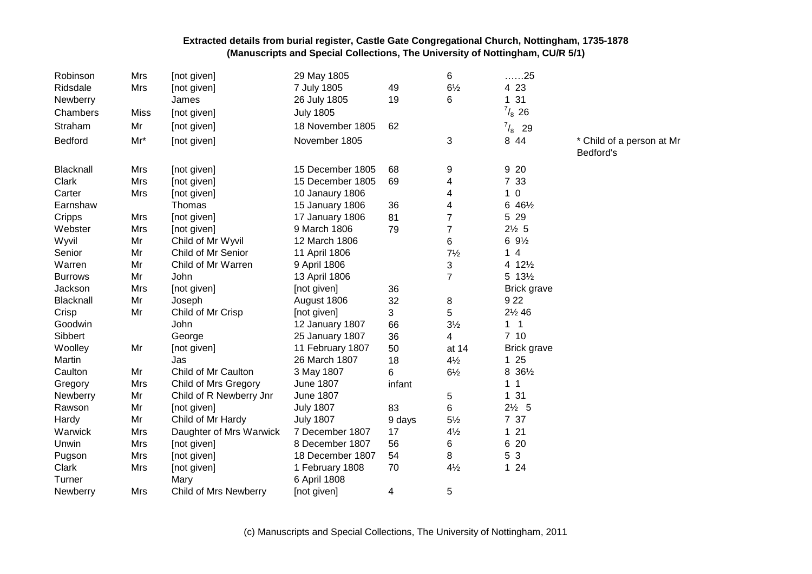| Robinson       | Mrs         | [not given]             | 29 May 1805      |        | 6              | 25                   |                                        |
|----------------|-------------|-------------------------|------------------|--------|----------------|----------------------|----------------------------------------|
| Ridsdale       | Mrs         | [not given]             | 7 July 1805      | 49     | $6\frac{1}{2}$ | 4 2 3                |                                        |
| Newberry       |             | James                   | 26 July 1805     | 19     | 6              | 31<br>1              |                                        |
| Chambers       | <b>Miss</b> | [not given]             | <b>July 1805</b> |        |                | $^{7}/_{8}$ 26       |                                        |
| Straham        | Mr          | [not given]             | 18 November 1805 | 62     |                | $^{7}/_{8}$ 29       |                                        |
| Bedford        | $Mr^*$      | [not given]             | November 1805    |        | 3              | 8 4 4                | * Child of a person at Mr<br>Bedford's |
| Blacknall      | Mrs         | [not given]             | 15 December 1805 | 68     | 9              | 9 20                 |                                        |
| Clark          | Mrs         | [not given]             | 15 December 1805 | 69     | 4              | 7 33                 |                                        |
| Carter         | Mrs         | [not given]             | 10 Janaury 1806  |        | 4              | $1\ 0$               |                                        |
| Earnshaw       |             | Thomas                  | 15 January 1806  | 36     | 4              | 6 461/2              |                                        |
| Cripps         | Mrs         | [not given]             | 17 January 1806  | 81     | $\overline{7}$ | 5 29                 |                                        |
| Webster        | Mrs         | [not given]             | 9 March 1806     | 79     | $\overline{7}$ | $2\frac{1}{2}$ 5     |                                        |
| Wyvil          | Mr          | Child of Mr Wyvil       | 12 March 1806    |        | 6              | $69\frac{1}{2}$      |                                        |
| Senior         | Mr          | Child of Mr Senior      | 11 April 1806    |        | $7\frac{1}{2}$ | 14                   |                                        |
| Warren         | Mr          | Child of Mr Warren      | 9 April 1806     |        | 3              | 4 121/2              |                                        |
| <b>Burrows</b> | Mr          | John                    | 13 April 1806    |        | $\overline{7}$ | 5 131/2              |                                        |
| Jackson        | Mrs         | [not given]             | [not given]      | 36     |                | <b>Brick grave</b>   |                                        |
| Blacknall      | Mr          | Joseph                  | August 1806      | 32     | 8              | 9 2 2                |                                        |
| Crisp          | Mr          | Child of Mr Crisp       | [not given]      | 3      | 5              | 21/2 46              |                                        |
| Goodwin        |             | John                    | 12 January 1807  | 66     | $3\frac{1}{2}$ | $1 \quad 1$          |                                        |
| Sibbert        |             | George                  | 25 January 1807  | 36     | 4              | 7 <sub>10</sub>      |                                        |
| Woolley        | Mr          | [not given]             | 11 February 1807 | 50     | at 14          | <b>Brick grave</b>   |                                        |
| Martin         |             | Jas                     | 26 March 1807    | 18     | $4\frac{1}{2}$ | 125                  |                                        |
| Caulton        | Mr          | Child of Mr Caulton     | 3 May 1807       | 6      | $6\frac{1}{2}$ | 8 361/2              |                                        |
| Gregory        | Mrs         | Child of Mrs Gregory    | <b>June 1807</b> | infant |                | $\overline{1}$<br>1. |                                        |
| Newberry       | Mr          | Child of R Newberry Jnr | <b>June 1807</b> |        | 5              | 1 31                 |                                        |
| Rawson         | Mr          | [not given]             | <b>July 1807</b> | 83     | 6              | $2\frac{1}{2}$ 5     |                                        |
| Hardy          | Mr          | Child of Mr Hardy       | <b>July 1807</b> | 9 days | $5\frac{1}{2}$ | 7 37                 |                                        |
| Warwick        | Mrs         | Daughter of Mrs Warwick | 7 December 1807  | 17     | $4\frac{1}{2}$ | 121                  |                                        |
| Unwin          | Mrs         | [not given]             | 8 December 1807  | 56     | 6              | 6 20                 |                                        |
| Pugson         | Mrs         | [not given]             | 18 December 1807 | 54     | 8              | 5 3                  |                                        |
| Clark          | Mrs         | [not given]             | 1 February 1808  | 70     | $4\frac{1}{2}$ | $124$                |                                        |
| Turner         |             | Mary                    | 6 April 1808     |        |                |                      |                                        |
| Newberry       | Mrs         | Child of Mrs Newberry   | [not given]      | 4      | 5              |                      |                                        |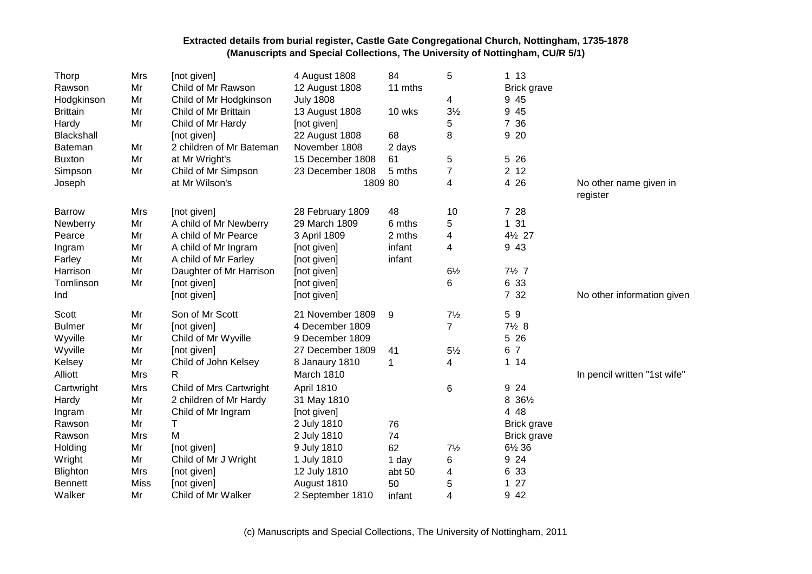| Thorp           | Mrs         | [not given]              | 4 August 1808    | 84      | 5              | 113                |                                    |
|-----------------|-------------|--------------------------|------------------|---------|----------------|--------------------|------------------------------------|
| Rawson          | Mr          | Child of Mr Rawson       | 12 August 1808   | 11 mths |                | Brick grave        |                                    |
| Hodgkinson      | Mr          | Child of Mr Hodgkinson   | <b>July 1808</b> |         | 4              | 9 45               |                                    |
| <b>Brittain</b> | Mr          | Child of Mr Brittain     | 13 August 1808   | 10 wks  | $3\frac{1}{2}$ | 9 45               |                                    |
| Hardy           | Mr          | Child of Mr Hardy        | [not given]      |         | 5              | 7 36               |                                    |
| Blackshall      |             | [not given]              | 22 August 1808   | 68      | 8              | 9 20               |                                    |
| Bateman         | Mr          | 2 children of Mr Bateman | November 1808    | 2 days  |                |                    |                                    |
| <b>Buxton</b>   | Mr          | at Mr Wright's           | 15 December 1808 | 61      | 5              | 5 26               |                                    |
| Simpson         | Mr          | Child of Mr Simpson      | 23 December 1808 | 5 mths  | 7              | 2 <sub>12</sub>    |                                    |
| Joseph          |             | at Mr Wilson's           | 1809 80          |         | 4              | 4 2 6              | No other name given in<br>register |
| <b>Barrow</b>   | Mrs         | [not given]              | 28 February 1809 | 48      | 10             | 7 28               |                                    |
| Newberry        | Mr          | A child of Mr Newberry   | 29 March 1809    | 6 mths  | 5              | 1 31               |                                    |
| Pearce          | Mr          | A child of Mr Pearce     | 3 April 1809     | 2 mths  | 4              | 41/2 27            |                                    |
| Ingram          | Mr          | A child of Mr Ingram     | [not given]      | infant  | 4              | 9 4 3              |                                    |
| Farley          | Mr          | A child of Mr Farley     | [not given]      | infant  |                |                    |                                    |
| Harrison        | Mr          | Daughter of Mr Harrison  | [not given]      |         | $6\frac{1}{2}$ | $7\frac{1}{2}$ 7   |                                    |
| Tomlinson       | Mr          | [not given]              | [not given]      |         | 6              | 6 33               |                                    |
| Ind             |             | [not given]              | [not given]      |         |                | 7 32               | No other information given         |
| Scott           | Mr          | Son of Mr Scott          | 21 November 1809 | 9       | $7\frac{1}{2}$ | 59                 |                                    |
| <b>Bulmer</b>   | Mr          | [not given]              | 4 December 1809  |         | $\overline{7}$ | $7\frac{1}{2}8$    |                                    |
| Wyville         | Mr          | Child of Mr Wyville      | 9 December 1809  |         |                | 5 26               |                                    |
| Wyville         | Mr          | [not given]              | 27 December 1809 | 41      | $5\frac{1}{2}$ | 6 7                |                                    |
| Kelsey          | Mr          | Child of John Kelsey     | 8 Janaury 1810   | 1       | 4              | $1 14$             |                                    |
| Alliott         | Mrs         | $\mathsf{R}$             | March 1810       |         |                |                    | In pencil written "1st wife"       |
| Cartwright      | Mrs         | Child of Mrs Cartwright  | April 1810       |         | 6              | 9 24               |                                    |
| Hardy           | Mr          | 2 children of Mr Hardy   | 31 May 1810      |         |                | 8 361/2            |                                    |
| Ingram          | Mr          | Child of Mr Ingram       | [not given]      |         |                | 4 48               |                                    |
| Rawson          | Mr          | T.                       | 2 July 1810      | 76      |                | Brick grave        |                                    |
| Rawson          | Mrs         | M                        | 2 July 1810      | 74      |                | <b>Brick grave</b> |                                    |
| Holding         | Mr          | [not given]              | 9 July 1810      | 62      | $7\frac{1}{2}$ | 6½ 36              |                                    |
| Wright          | Mr          | Child of Mr J Wright     | 1 July 1810      | 1 day   | 6              | 9 24               |                                    |
| Blighton        | Mrs         | [not given]              | 12 July 1810     | abt 50  | 4              | 6 33               |                                    |
| <b>Bennett</b>  | <b>Miss</b> | [not given]              | August 1810      | 50      | 5              | 27<br>$\mathbf 1$  |                                    |
| Walker          | Mr          | Child of Mr Walker       | 2 September 1810 | infant  | 4              | 9 4 2              |                                    |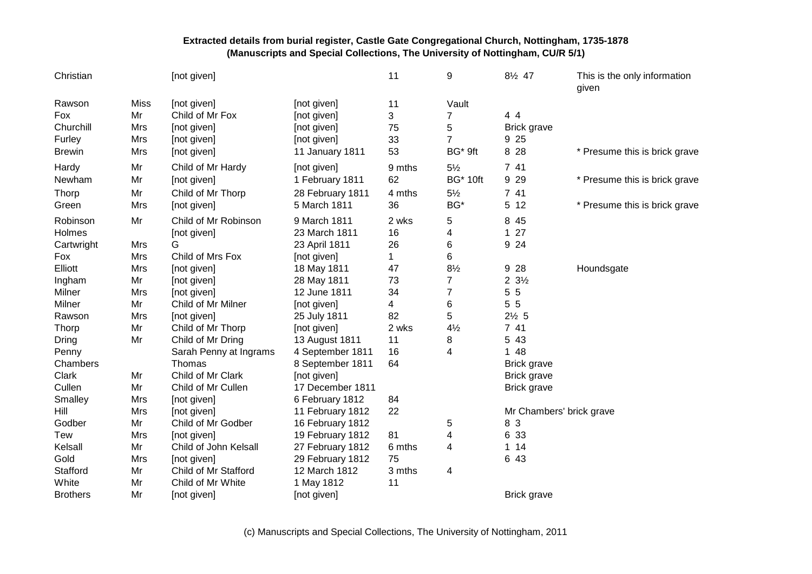| Christian       |             | [not given]            |                  | 11           | 9               | 81/2 47                  | This is the only information<br>given |
|-----------------|-------------|------------------------|------------------|--------------|-----------------|--------------------------|---------------------------------------|
| Rawson          | <b>Miss</b> | [not given]            | [not given]      | 11           | Vault           |                          |                                       |
| Fox             | Mr          | Child of Mr Fox        | [not given]      | 3            | 7               | 4 4                      |                                       |
| Churchill       | Mrs         | [not given]            | [not given]      | 75           | 5               | <b>Brick grave</b>       |                                       |
| Furley          | Mrs         | [not given]            | [not given]      | 33           | $\overline{7}$  | 9 25                     |                                       |
| <b>Brewin</b>   | Mrs         | [not given]            | 11 January 1811  | 53           | BG* 9ft         | 8 2 8                    | * Presume this is brick grave         |
| Hardy           | Mr          | Child of Mr Hardy      | [not given]      | 9 mths       | $5\frac{1}{2}$  | 7 41                     |                                       |
| Newham          | Mr          | [not given]            | 1 February 1811  | 62           | <b>BG* 10ft</b> | 9 2 9                    | * Presume this is brick grave         |
| Thorp           | Mr          | Child of Mr Thorp      | 28 February 1811 | 4 mths       | $5\frac{1}{2}$  | 7 41                     |                                       |
| Green           | Mrs         | [not given]            | 5 March 1811     | 36           | BG*             | 5 12                     | * Presume this is brick grave         |
| Robinson        | Mr          | Child of Mr Robinson   | 9 March 1811     | 2 wks        | 5               | 8 4 5                    |                                       |
| Holmes          |             | [not given]            | 23 March 1811    | 16           | 4               | 127                      |                                       |
| Cartwright      | Mrs         | G                      | 23 April 1811    | 26           | 6               | 9 24                     |                                       |
| Fox             | Mrs         | Child of Mrs Fox       | [not given]      | $\mathbf{1}$ | 6               |                          |                                       |
| Elliott         | Mrs         | [not given]            | 18 May 1811      | 47           | $8\frac{1}{2}$  | 9 2 8                    | Houndsgate                            |
| Ingham          | Mr          | [not given]            | 28 May 1811      | 73           | $\overline{7}$  | $2 \frac{3}{2}$          |                                       |
| Milner          | Mrs         | [not given]            | 12 June 1811     | 34           | 7               | 5 5                      |                                       |
| Milner          | Mr          | Child of Mr Milner     | [not given]      | 4            | 6               | 5 5                      |                                       |
| Rawson          | Mrs         | [not given]            | 25 July 1811     | 82           | 5               | $2\frac{1}{2}$ 5         |                                       |
| Thorp           | Mr          | Child of Mr Thorp      | [not given]      | 2 wks        | $4\frac{1}{2}$  | 7 41                     |                                       |
| Dring           | Mr          | Child of Mr Dring      | 13 August 1811   | 11           | 8               | 5 43                     |                                       |
| Penny           |             | Sarah Penny at Ingrams | 4 September 1811 | 16           | 4               | 1 48                     |                                       |
| Chambers        |             | Thomas                 | 8 September 1811 | 64           |                 | Brick grave              |                                       |
| Clark           | Mr          | Child of Mr Clark      | [not given]      |              |                 | <b>Brick grave</b>       |                                       |
| Cullen          | Mr          | Child of Mr Cullen     | 17 December 1811 |              |                 | <b>Brick grave</b>       |                                       |
| Smalley         | Mrs         | [not given]            | 6 February 1812  | 84           |                 |                          |                                       |
| Hill            | Mrs         | [not given]            | 11 February 1812 | 22           |                 | Mr Chambers' brick grave |                                       |
| Godber          | Mr          | Child of Mr Godber     | 16 February 1812 |              | 5               | 8 3                      |                                       |
| <b>Tew</b>      | Mrs         | [not given]            | 19 February 1812 | 81           | 4               | 6 33                     |                                       |
| Kelsall         | Mr          | Child of John Kelsall  | 27 February 1812 | 6 mths       | 4               | $1 14$                   |                                       |
| Gold            | Mrs         | [not given]            | 29 February 1812 | 75           |                 | 6 43                     |                                       |
| Stafford        | Mr          | Child of Mr Stafford   | 12 March 1812    | 3 mths       | 4               |                          |                                       |
| White           | Mr          | Child of Mr White      | 1 May 1812       | 11           |                 |                          |                                       |
| <b>Brothers</b> | Mr          | [not given]            | [not given]      |              |                 | Brick grave              |                                       |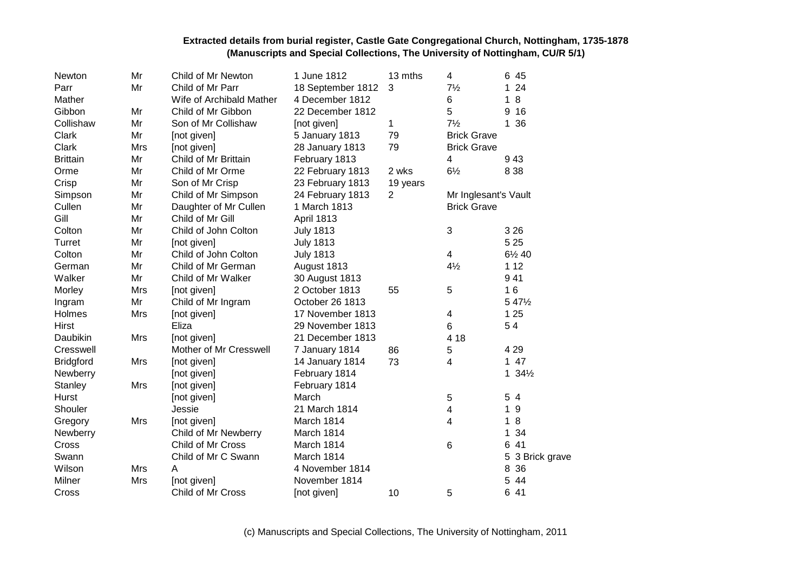| Newton           | Mr         | Child of Mr Newton       | 1 June 1812       | 13 mths        | 4                    | 6<br>45             |
|------------------|------------|--------------------------|-------------------|----------------|----------------------|---------------------|
| Parr             | Mr         | Child of Mr Parr         | 18 September 1812 | 3              | $7\frac{1}{2}$       | 24<br>1             |
| Mather           |            | Wife of Archibald Mather | 4 December 1812   |                | 6                    | 8<br>1              |
| Gibbon           | Mr         | Child of Mr Gibbon       | 22 December 1812  |                | 5                    | 16<br>9             |
| Collishaw        | Mr         | Son of Mr Collishaw      | [not given]       | 1              | $7\frac{1}{2}$       | 1 36                |
| Clark            | Mr         | [not given]              | 5 January 1813    | 79             | <b>Brick Grave</b>   |                     |
| Clark            | Mrs        | [not given]              | 28 January 1813   | 79             | <b>Brick Grave</b>   |                     |
| <b>Brittain</b>  | Mr         | Child of Mr Brittain     | February 1813     |                | 4                    | 943                 |
| Orme             | Mr         | Child of Mr Orme         | 22 February 1813  | 2 wks          | $6\frac{1}{2}$       | 8 3 8               |
| Crisp            | Mr         | Son of Mr Crisp          | 23 February 1813  | 19 years       |                      |                     |
| Simpson          | Mr         | Child of Mr Simpson      | 24 February 1813  | $\overline{2}$ | Mr Inglesant's Vault |                     |
| Cullen           | Mr         | Daughter of Mr Cullen    | 1 March 1813      |                | <b>Brick Grave</b>   |                     |
| Gill             | Mr         | Child of Mr Gill         | April 1813        |                |                      |                     |
| Colton           | Mr         | Child of John Colton     | <b>July 1813</b>  |                | 3                    | 3 2 6               |
| Turret           | Mr         | [not given]              | <b>July 1813</b>  |                |                      | 5 2 5               |
| Colton           | Mr         | Child of John Colton     | <b>July 1813</b>  |                | 4                    | 61/2 40             |
| German           | Mr         | Child of Mr German       | August 1813       |                | $4\frac{1}{2}$       | 1 1 2               |
| Walker           | Mr         | Child of Mr Walker       | 30 August 1813    |                |                      | 941                 |
| Morley           | Mrs        | [not given]              | 2 October 1813    | 55             | 5                    | 16                  |
| Ingram           | Mr         | Child of Mr Ingram       | October 26 1813   |                |                      | 5 4 7 1/2           |
| Holmes           | Mrs        | [not given]              | 17 November 1813  |                | 4                    | 1 2 5               |
| <b>Hirst</b>     |            | Eliza                    | 29 November 1813  |                | 6                    | 54                  |
| Daubikin         | Mrs        | [not given]              | 21 December 1813  |                | 4 18                 |                     |
| Cresswell        |            | Mother of Mr Cresswell   | 7 January 1814    | 86             | 5                    | 4 2 9               |
| <b>Bridgford</b> | Mrs        | [not given]              | 14 January 1814   | 73             | 4                    | $147$               |
| Newberry         |            | [not given]              | February 1814     |                |                      | $1.34\frac{1}{2}$   |
| Stanley          | Mrs        | [not given]              | February 1814     |                |                      |                     |
| Hurst            |            | [not given]              | March             |                | 5                    | 5<br>$\overline{4}$ |
| Shouler          |            | Jessie                   | 21 March 1814     |                | 4                    | 9<br>1              |
| Gregory          | Mrs        | [not given]              | March 1814        |                | 4                    | 8<br>1              |
| Newberry         |            | Child of Mr Newberry     | March 1814        |                |                      | 34<br>1             |
| Cross            |            | Child of Mr Cross        | March 1814        |                | 6                    | 41<br>6             |
| Swann            |            | Child of Mr C Swann      | March 1814        |                |                      | 5<br>3 Brick grave  |
| Wilson           | <b>Mrs</b> | A                        | 4 November 1814   |                |                      | 8<br>36             |
| Milner           | Mrs        | [not given]              | November 1814     |                |                      | 5<br>44             |
| Cross            |            | Child of Mr Cross        | [not given]       | 10             | 5                    | 6<br>41             |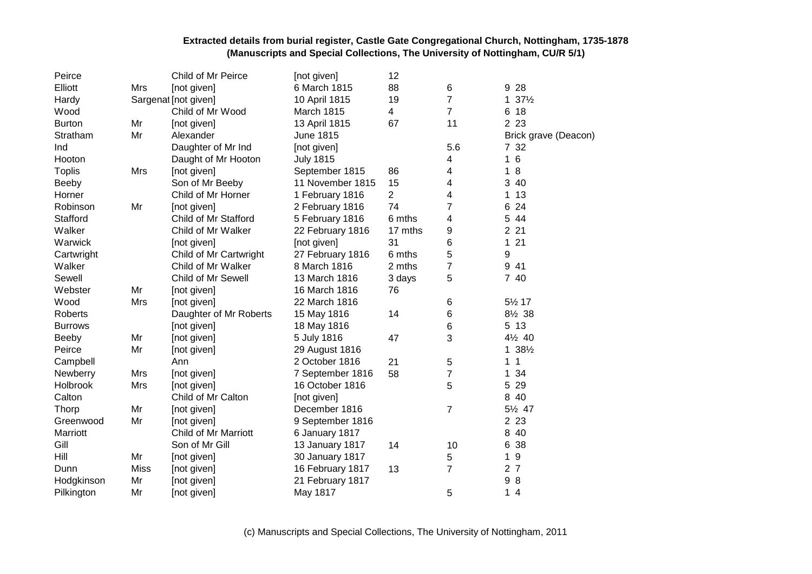| Peirce         |      | Child of Mr Peirce     | [not given]      | 12             |                |                                  |
|----------------|------|------------------------|------------------|----------------|----------------|----------------------------------|
| Elliott        | Mrs  | [not given]            | 6 March 1815     | 88             | 6              | 28<br>9                          |
| Hardy          |      | Sargenat [not given]   | 10 April 1815    | 19             | 7              | 37%<br>1                         |
| Wood           |      | Child of Mr Wood       | March 1815       | 4              | $\overline{7}$ | 18<br>6                          |
| <b>Burton</b>  | Mr   | [not given]            | 13 April 1815    | 67             | 11             | 2 2 3                            |
| Stratham       | Mr   | Alexander              | June 1815        |                |                | Brick grave (Deacon)             |
| Ind            |      | Daughter of Mr Ind     | [not given]      |                | 5.6            | 7 32                             |
| Hooton         |      | Daught of Mr Hooton    | <b>July 1815</b> |                | 4              | 16                               |
| <b>Toplis</b>  | Mrs  | [not given]            | September 1815   | 86             | 4              | 8<br>1                           |
| Beeby          |      | Son of Mr Beeby        | 11 November 1815 | 15             | 4              | 3<br>40                          |
| Horner         |      | Child of Mr Horner     | 1 February 1816  | $\overline{2}$ | 4              | 13<br>1                          |
| Robinson       | Mr   | [not given]            | 2 February 1816  | 74             | 7              | 24<br>6                          |
| Stafford       |      | Child of Mr Stafford   | 5 February 1816  | 6 mths         | 4              | 5<br>44                          |
| Walker         |      | Child of Mr Walker     | 22 February 1816 | 17 mths        | 9              | 2 2 1                            |
| Warwick        |      | [not given]            | [not given]      | 31             | 6              | 21<br>1                          |
| Cartwright     |      | Child of Mr Cartwright | 27 February 1816 | 6 mths         | 5              | 9                                |
| Walker         |      | Child of Mr Walker     | 8 March 1816     | 2 mths         | $\overline{7}$ | 9<br>41                          |
| Sewell         |      | Child of Mr Sewell     | 13 March 1816    | 3 days         | 5              | 7 40                             |
| Webster        | Mr   | [not given]            | 16 March 1816    | 76             |                |                                  |
| Wood           | Mrs  | [not given]            | 22 March 1816    |                | 6              | 51/2 17                          |
| Roberts        |      | Daughter of Mr Roberts | 15 May 1816      | 14             | 6              | 8½ 38                            |
| <b>Burrows</b> |      | [not given]            | 18 May 1816      |                | 6              | 5 13                             |
| Beeby          | Mr   | [not given]            | 5 July 1816      | 47             | 3              | 4½ 40                            |
| Peirce         | Mr   | [not given]            | 29 August 1816   |                |                | $138\frac{1}{2}$                 |
| Campbell       |      | Ann                    | 2 October 1816   | 21             | 5              | 1<br>1                           |
| Newberry       | Mrs  | [not given]            | 7 September 1816 | 58             | $\overline{7}$ | 34<br>1                          |
| Holbrook       | Mrs  | [not given]            | 16 October 1816  |                | 5              | 29<br>5                          |
| Calton         |      | Child of Mr Calton     | [not given]      |                |                | 40<br>8                          |
| Thorp          | Mr   | [not given]            | December 1816    |                | 7              | 51/2 47                          |
| Greenwood      | Mr   | [not given]            | 9 September 1816 |                |                | 2 2 3                            |
| Marriott       |      | Child of Mr Marriott   | 6 January 1817   |                |                | 8<br>40                          |
| Gill           |      | Son of Mr Gill         | 13 January 1817  | 14             | 10             | 38<br>6                          |
| Hill           | Mr   | [not given]            | 30 January 1817  |                | 5              | $9\,$<br>1                       |
| Dunn           | Miss | [not given]            | 16 February 1817 | 13             | 7              | $\overline{2}$<br>$\overline{7}$ |
| Hodgkinson     | Mr   | [not given]            | 21 February 1817 |                |                | 8<br>9                           |
| Pilkington     | Mr   | [not given]            | May 1817         |                | 5              | 14                               |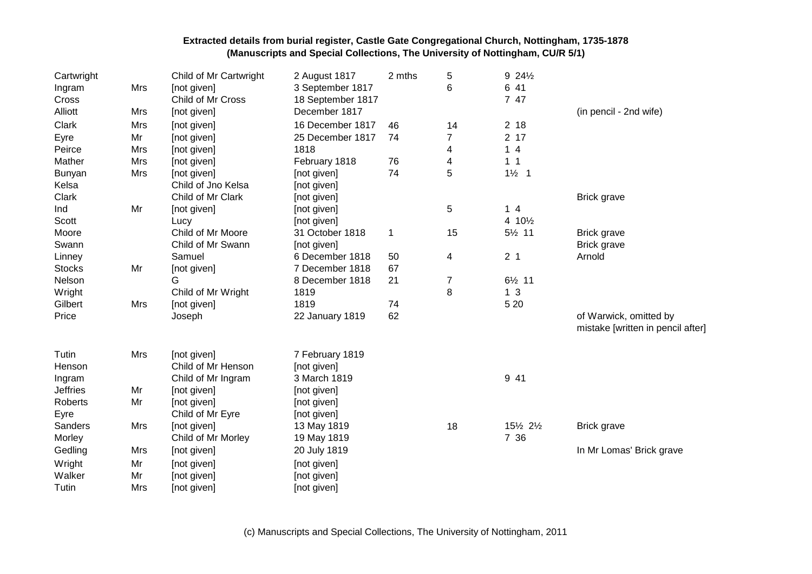| Cartwright<br>Ingram<br>Cross     | Mrs      | Child of Mr Cartwright<br>[not given]<br>Child of Mr Cross | 2 August 1817<br>3 September 1817<br>18 September 1817 | 2 mths       | 5<br>6         | 9 241/2<br>6 41<br>7 47 |                                                             |
|-----------------------------------|----------|------------------------------------------------------------|--------------------------------------------------------|--------------|----------------|-------------------------|-------------------------------------------------------------|
| Alliott                           | Mrs      | [not given]                                                | December 1817                                          |              |                |                         | (in pencil - 2nd wife)                                      |
| Clark                             | Mrs      | [not given]                                                | 16 December 1817                                       | 46           | 14             | 2 <sub>18</sub>         |                                                             |
| Eyre                              | Mr       | [not given]                                                | 25 December 1817                                       | 74           | $\overline{7}$ | 2 <sub>17</sub>         |                                                             |
| Peirce                            | Mrs      | [not given]                                                | 1818                                                   |              | 4              | 14                      |                                                             |
| Mather                            | Mrs      | [not given]                                                | February 1818                                          | 76           | 4              | 1 <sub>1</sub>          |                                                             |
| Bunyan                            | Mrs      | [not given]                                                | [not given]                                            | 74           | 5              | $1\frac{1}{2}$ 1        |                                                             |
| Kelsa                             |          | Child of Jno Kelsa                                         | [not given]                                            |              |                |                         |                                                             |
| Clark                             |          | Child of Mr Clark                                          | [not given]                                            |              |                |                         | <b>Brick grave</b>                                          |
| Ind                               | Mr       | [not given]                                                | [not given]                                            |              | 5              | 14                      |                                                             |
| Scott                             |          | Lucy                                                       | [not given]                                            |              |                | 4 101/2                 |                                                             |
| Moore                             |          | Child of Mr Moore                                          | 31 October 1818                                        | $\mathbf{1}$ | 15             | 51/2 11                 | Brick grave                                                 |
| Swann                             |          | Child of Mr Swann                                          | [not given]                                            |              |                |                         | <b>Brick grave</b>                                          |
| Linney                            |          | Samuel                                                     | 6 December 1818                                        | 50           | 4              | 2 <sub>1</sub>          | Arnold                                                      |
| <b>Stocks</b>                     | Mr       | [not given]                                                | 7 December 1818                                        | 67           |                |                         |                                                             |
| Nelson                            |          | G                                                          | 8 December 1818                                        | 21           | $\overline{7}$ | $6\frac{1}{2}$ 11       |                                                             |
| Wright                            |          | Child of Mr Wright                                         | 1819                                                   |              | 8              | 1 <sub>3</sub>          |                                                             |
| Gilbert                           | Mrs      | [not given]                                                | 1819                                                   | 74           |                | 5 2 0                   |                                                             |
| Price                             |          | Joseph                                                     | 22 January 1819                                        | 62           |                |                         | of Warwick, omitted by<br>mistake [written in pencil after] |
| Tutin                             | Mrs      | [not given]                                                | 7 February 1819                                        |              |                |                         |                                                             |
| Henson                            |          | Child of Mr Henson                                         | [not given]                                            |              |                |                         |                                                             |
| Ingram                            |          | Child of Mr Ingram                                         | 3 March 1819                                           |              |                | 9 41                    |                                                             |
| <b>Jeffries</b><br><b>Roberts</b> | Mr<br>Mr | [not given]                                                | [not given]                                            |              |                |                         |                                                             |
|                                   |          | [not given]<br>Child of Mr Eyre                            | [not given]                                            |              |                |                         |                                                             |
| Eyre<br>Sanders                   | Mrs      |                                                            | [not given]                                            |              | 18             | 151/2 21/2              |                                                             |
| Morley                            |          | [not given]<br>Child of Mr Morley                          | 13 May 1819                                            |              |                | 7 36                    | <b>Brick grave</b>                                          |
|                                   |          |                                                            | 19 May 1819                                            |              |                |                         |                                                             |
| Gedling                           | Mrs      | [not given]                                                | 20 July 1819                                           |              |                |                         | In Mr Lomas' Brick grave                                    |
| Wright                            | Mr       | [not given]                                                | [not given]                                            |              |                |                         |                                                             |
| Walker                            | Mr       | [not given]                                                | [not given]                                            |              |                |                         |                                                             |
| Tutin                             | Mrs      | [not given]                                                | [not given]                                            |              |                |                         |                                                             |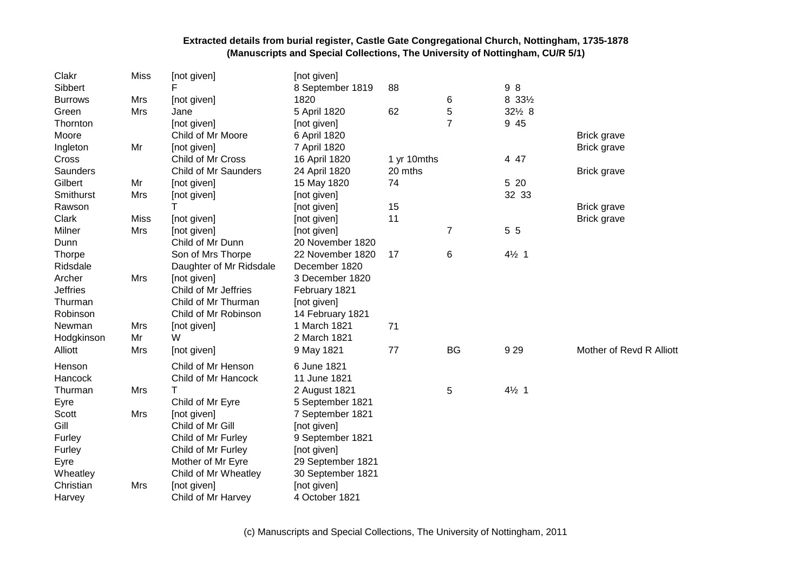| Clakr           | <b>Miss</b> | [not given]             | [not given]       |             |                |                  |                          |
|-----------------|-------------|-------------------------|-------------------|-------------|----------------|------------------|--------------------------|
| Sibbert         |             | F                       | 8 September 1819  | 88          |                | 98               |                          |
| <b>Burrows</b>  | Mrs         | [not given]             | 1820              |             | 6              | 8 331/2          |                          |
| Green           | Mrs         | Jane                    | 5 April 1820      | 62          | 5              | 321/2 8          |                          |
| Thornton        |             | [not given]             | [not given]       |             | $\overline{7}$ | 9 45             |                          |
| Moore           |             | Child of Mr Moore       | 6 April 1820      |             |                |                  | <b>Brick grave</b>       |
| Ingleton        | Mr          | [not given]             | 7 April 1820      |             |                |                  | <b>Brick grave</b>       |
| Cross           |             | Child of Mr Cross       | 16 April 1820     | 1 yr 10mths |                | 4 47             |                          |
| Saunders        |             | Child of Mr Saunders    | 24 April 1820     | 20 mths     |                |                  | <b>Brick grave</b>       |
| Gilbert         | Mr          | [not given]             | 15 May 1820       | 74          |                | 5 20             |                          |
| Smithurst       | Mrs         | [not given]             | [not given]       |             |                | 32 33            |                          |
| Rawson          |             | т                       | [not given]       | 15          |                |                  | Brick grave              |
| Clark           | <b>Miss</b> | [not given]             | [not given]       | 11          |                |                  | Brick grave              |
| Milner          | Mrs         | [not given]             | [not given]       |             | $\overline{7}$ | 5 5              |                          |
| Dunn            |             | Child of Mr Dunn        | 20 November 1820  |             |                |                  |                          |
| Thorpe          |             | Son of Mrs Thorpe       | 22 November 1820  | 17          | 6              | $4\frac{1}{2}$ 1 |                          |
| Ridsdale        |             | Daughter of Mr Ridsdale | December 1820     |             |                |                  |                          |
| Archer          | Mrs         | [not given]             | 3 December 1820   |             |                |                  |                          |
| <b>Jeffries</b> |             | Child of Mr Jeffries    | February 1821     |             |                |                  |                          |
| Thurman         |             | Child of Mr Thurman     | [not given]       |             |                |                  |                          |
| Robinson        |             | Child of Mr Robinson    | 14 February 1821  |             |                |                  |                          |
| Newman          | Mrs         | [not given]             | 1 March 1821      | 71          |                |                  |                          |
| Hodgkinson      | Mr          | W                       | 2 March 1821      |             |                |                  |                          |
| Alliott         | Mrs         | [not given]             | 9 May 1821        | 77          | <b>BG</b>      | 929              | Mother of Revd R Alliott |
| Henson          |             | Child of Mr Henson      | 6 June 1821       |             |                |                  |                          |
| Hancock         |             | Child of Mr Hancock     | 11 June 1821      |             |                |                  |                          |
| Thurman         | Mrs         |                         | 2 August 1821     |             | 5              | $4\frac{1}{2}$ 1 |                          |
| Eyre            |             | Child of Mr Eyre        | 5 September 1821  |             |                |                  |                          |
| Scott           | Mrs         | [not given]             | 7 September 1821  |             |                |                  |                          |
| Gill            |             | Child of Mr Gill        | [not given]       |             |                |                  |                          |
| Furley          |             | Child of Mr Furley      | 9 September 1821  |             |                |                  |                          |
| Furley          |             | Child of Mr Furley      | [not given]       |             |                |                  |                          |
| Eyre            |             | Mother of Mr Eyre       | 29 September 1821 |             |                |                  |                          |
| Wheatley        |             | Child of Mr Wheatley    | 30 September 1821 |             |                |                  |                          |
| Christian       | <b>Mrs</b>  | [not given]             | [not given]       |             |                |                  |                          |
| Harvey          |             | Child of Mr Harvey      | 4 October 1821    |             |                |                  |                          |

(c) Manuscripts and Special Collections, The University of Nottingham, 2011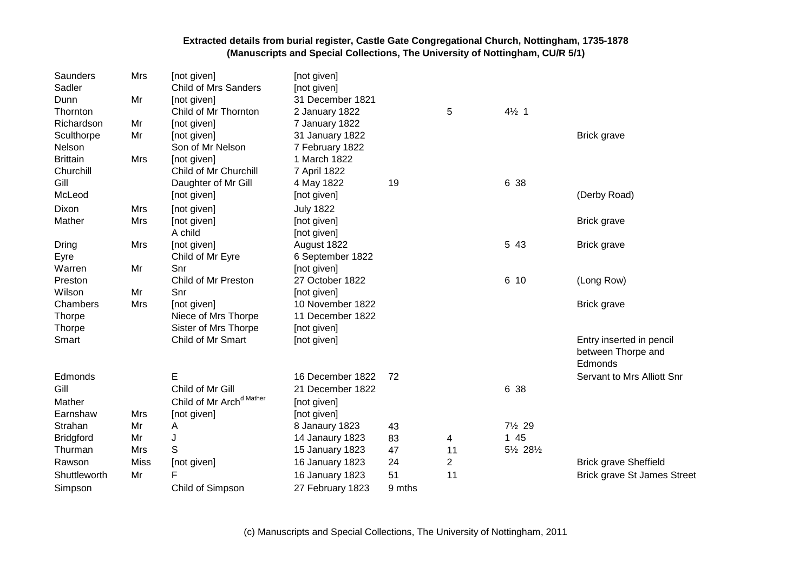| Saunders<br>Sadler | Mrs         | [not given]<br><b>Child of Mrs Sanders</b> | [not given]<br>[not given] |        |                |                  |                                    |
|--------------------|-------------|--------------------------------------------|----------------------------|--------|----------------|------------------|------------------------------------|
| Dunn               | Mr          | [not given]                                | 31 December 1821           |        |                |                  |                                    |
| Thornton           |             | Child of Mr Thornton                       | 2 January 1822             |        | 5              | $4\frac{1}{2}$ 1 |                                    |
| Richardson         | Mr          | [not given]                                | 7 January 1822             |        |                |                  |                                    |
| Sculthorpe         | Mr          | [not given]                                | 31 January 1822            |        |                |                  | <b>Brick grave</b>                 |
| Nelson             |             | Son of Mr Nelson                           | 7 February 1822            |        |                |                  |                                    |
| <b>Brittain</b>    | Mrs         | [not given]                                | 1 March 1822               |        |                |                  |                                    |
| Churchill          |             | Child of Mr Churchill                      | 7 April 1822               |        |                |                  |                                    |
| Gill               |             | Daughter of Mr Gill                        | 4 May 1822                 | 19     |                | 6 38             |                                    |
| McLeod             |             | [not given]                                | [not given]                |        |                |                  | (Derby Road)                       |
| Dixon              | Mrs         | [not given]                                | <b>July 1822</b>           |        |                |                  |                                    |
| Mather             | Mrs         | [not given]                                | [not given]                |        |                |                  | <b>Brick grave</b>                 |
|                    |             | A child                                    | [not given]                |        |                |                  |                                    |
| Dring              | Mrs         | [not given]                                | August 1822                |        |                | 5 43             | <b>Brick grave</b>                 |
| Eyre               |             | Child of Mr Eyre                           | 6 September 1822           |        |                |                  |                                    |
| Warren             | Mr          | Snr                                        | [not given]                |        |                |                  |                                    |
| Preston            |             | Child of Mr Preston                        | 27 October 1822            |        |                | 6 10             | (Long Row)                         |
| Wilson             | Mr          | Snr                                        | [not given]                |        |                |                  |                                    |
| Chambers           | Mrs         | [not given]                                | 10 November 1822           |        |                |                  | <b>Brick grave</b>                 |
| Thorpe             |             | Niece of Mrs Thorpe                        | 11 December 1822           |        |                |                  |                                    |
| <b>Thorpe</b>      |             | Sister of Mrs Thorpe                       | [not given]                |        |                |                  |                                    |
| Smart              |             | Child of Mr Smart                          | [not given]                |        |                |                  | Entry inserted in pencil           |
|                    |             |                                            |                            |        |                |                  | between Thorpe and                 |
|                    |             |                                            |                            |        |                |                  | Edmonds                            |
| Edmonds            |             | E                                          | 16 December 1822           | 72     |                |                  | Servant to Mrs Alliott Snr         |
| Gill               |             | Child of Mr Gill                           | 21 December 1822           |        |                | 6 38             |                                    |
| Mather             |             | Child of Mr Arch <sup>d Mather</sup>       | [not given]                |        |                |                  |                                    |
| Earnshaw           | Mrs         | [not given]                                | [not given]                |        |                |                  |                                    |
| Strahan            | Mr          | A                                          | 8 Janaury 1823             | 43     |                | 7½ 29            |                                    |
| <b>Bridgford</b>   | Mr          | J                                          | 14 Janaury 1823            | 83     | 4              | 1 45             |                                    |
| Thurman            | Mrs         | S                                          | 15 January 1823            | 47     | 11             | 5½ 28½           |                                    |
| Rawson             | <b>Miss</b> | [not given]                                | 16 January 1823            | 24     | $\overline{2}$ |                  | <b>Brick grave Sheffield</b>       |
| Shuttleworth       | Mr          | F                                          | 16 January 1823            | 51     | 11             |                  | <b>Brick grave St James Street</b> |
| Simpson            |             | Child of Simpson                           | 27 February 1823           | 9 mths |                |                  |                                    |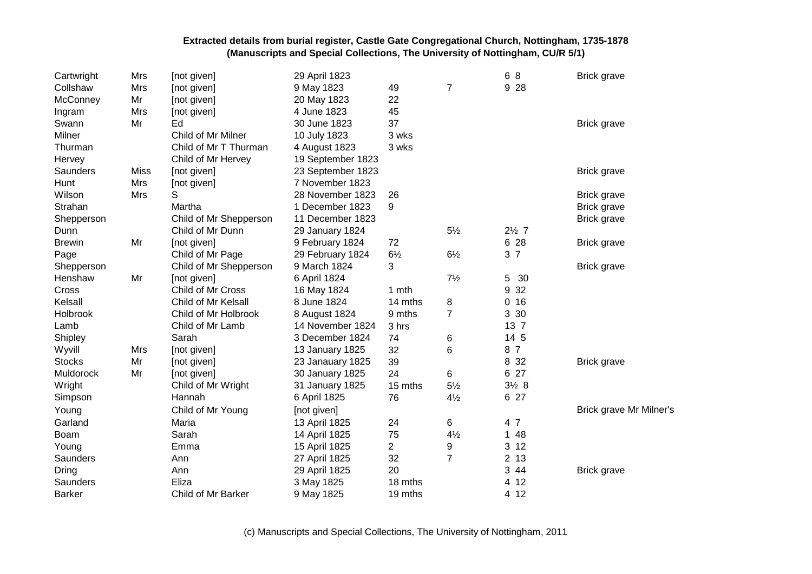| Cartwright    | Mrs         | [not given]            | 29 April 1823     |                |                | 6 8                  | <b>Brick grave</b>      |
|---------------|-------------|------------------------|-------------------|----------------|----------------|----------------------|-------------------------|
| Collshaw      | Mrs         | [not given]            | 9 May 1823        | 49             | $\overline{7}$ | 9 2 8                |                         |
| McConney      | Mr          | [not given]            | 20 May 1823       | 22             |                |                      |                         |
| Ingram        | Mrs         | [not given]            | 4 June 1823       | 45             |                |                      |                         |
| Swann         | Mr          | Ed                     | 30 June 1823      | 37             |                |                      | <b>Brick grave</b>      |
| Milner        |             | Child of Mr Milner     | 10 July 1823      | 3 wks          |                |                      |                         |
| Thurman       |             | Child of Mr T Thurman  | 4 August 1823     | 3 wks          |                |                      |                         |
| Hervey        |             | Child of Mr Hervey     | 19 September 1823 |                |                |                      |                         |
| Saunders      | <b>Miss</b> | [not given]            | 23 September 1823 |                |                |                      | <b>Brick grave</b>      |
| Hunt          | Mrs         | [not given]            | 7 November 1823   |                |                |                      |                         |
| Wilson        | Mrs         | S                      | 28 November 1823  | 26             |                |                      | <b>Brick grave</b>      |
| Strahan       |             | Martha                 | 1 December 1823   | 9              |                |                      | <b>Brick grave</b>      |
| Shepperson    |             | Child of Mr Shepperson | 11 December 1823  |                |                |                      | <b>Brick grave</b>      |
| Dunn          |             | Child of Mr Dunn       | 29 January 1824   |                | $5\frac{1}{2}$ | $2\frac{1}{2}$ 7     |                         |
| <b>Brewin</b> | Mr          | [not given]            | 9 February 1824   | 72             |                | 6 28                 | <b>Brick grave</b>      |
| Page          |             | Child of Mr Page       | 29 February 1824  | $6\frac{1}{2}$ | $6\frac{1}{2}$ | 3 <sub>7</sub>       |                         |
| Shepperson    |             | Child of Mr Shepperson | 9 March 1824      | 3              |                |                      | <b>Brick grave</b>      |
| Henshaw       | Mr          | [not given]            | 6 April 1824      |                | $7\frac{1}{2}$ | 5<br>30              |                         |
| Cross         |             | Child of Mr Cross      | 16 May 1824       | 1 mth          |                | 32<br>9              |                         |
| Kelsall       |             | Child of Mr Kelsall    | 8 June 1824       | 14 mths        | 8              | 16<br>0              |                         |
| Holbrook      |             | Child of Mr Holbrook   | 8 August 1824     | 9 mths         | $\overline{7}$ | 3 30                 |                         |
| Lamb          |             | Child of Mr Lamb       | 14 November 1824  | 3 hrs          |                | 13 7                 |                         |
| Shipley       |             | Sarah                  | 3 December 1824   | 74             | 6              | 14 5                 |                         |
| Wyvill        | Mrs         | [not given]            | 13 January 1825   | 32             | 6              | 8 7                  |                         |
| <b>Stocks</b> | Mr          | [not given]            | 23 Janauary 1825  | 39             |                | 8 3 2                | <b>Brick grave</b>      |
| Muldorock     | Mr          | [not given]            | 30 January 1825   | 24             | 6              | 6 27                 |                         |
| Wright        |             | Child of Mr Wright     | 31 January 1825   | 15 mths        | $5\frac{1}{2}$ | $3\frac{1}{2}8$      |                         |
| Simpson       |             | Hannah                 | 6 April 1825      | 76             | $4\frac{1}{2}$ | 6 27                 |                         |
| Young         |             | Child of Mr Young      | [not given]       |                |                |                      | Brick grave Mr Milner's |
| Garland       |             | Maria                  | 13 April 1825     | 24             | 6              | 4 7                  |                         |
| Boam          |             | Sarah                  | 14 April 1825     | 75             | $4\frac{1}{2}$ | 48<br>$\mathbf 1$    |                         |
| Young         |             | Emma                   | 15 April 1825     | $\overline{c}$ | 9              | 3<br>12              |                         |
| Saunders      |             | Ann                    | 27 April 1825     | 32             | $\overline{7}$ | 13<br>$\overline{2}$ |                         |
| Dring         |             | Ann                    | 29 April 1825     | 20             |                | 3 44                 | <b>Brick grave</b>      |
| Saunders      |             | Eliza                  | 3 May 1825        | 18 mths        |                | 4 12                 |                         |
| <b>Barker</b> |             | Child of Mr Barker     | 9 May 1825        | 19 mths        |                | 4 12                 |                         |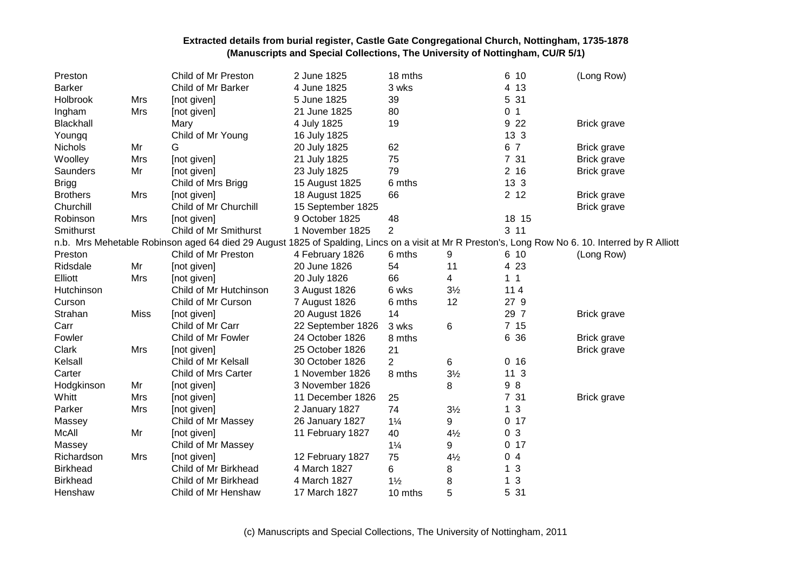| Preston         |             | Child of Mr Preston                                                                                                                               | 2 June 1825       | 18 mths        |                | 6 10            | (Long Row)         |
|-----------------|-------------|---------------------------------------------------------------------------------------------------------------------------------------------------|-------------------|----------------|----------------|-----------------|--------------------|
| <b>Barker</b>   |             | Child of Mr Barker                                                                                                                                | 4 June 1825       | 3 wks          |                | 4 13            |                    |
| Holbrook        | Mrs         | [not given]                                                                                                                                       | 5 June 1825       | 39             |                | 5 31            |                    |
| Ingham          | Mrs         | [not given]                                                                                                                                       | 21 June 1825      | 80             |                | 0 <sub>1</sub>  |                    |
| Blackhall       |             | Mary                                                                                                                                              | 4 July 1825       | 19             |                | 9 2 2           | <b>Brick grave</b> |
| Youngq          |             | Child of Mr Young                                                                                                                                 | 16 July 1825      |                |                | 13 <sub>3</sub> |                    |
| <b>Nichols</b>  | Mr          | G                                                                                                                                                 | 20 July 1825      | 62             |                | 6 7             | <b>Brick grave</b> |
| Woolley         | Mrs         | [not given]                                                                                                                                       | 21 July 1825      | 75             |                | 7 31            | Brick grave        |
| Saunders        | Mr          | [not given]                                                                                                                                       | 23 July 1825      | 79             |                | 2 <sub>16</sub> | <b>Brick grave</b> |
| <b>Brigg</b>    |             | Child of Mrs Brigg                                                                                                                                | 15 August 1825    | 6 mths         |                | 13 3            |                    |
| <b>Brothers</b> | Mrs         | [not given]                                                                                                                                       | 18 August 1825    | 66             |                | 2 <sub>12</sub> | Brick grave        |
| Churchill       |             | Child of Mr Churchill                                                                                                                             | 15 September 1825 |                |                |                 | <b>Brick grave</b> |
| Robinson        | Mrs         | [not given]                                                                                                                                       | 9 October 1825    | 48             |                | 18 15           |                    |
| Smithurst       |             | Child of Mr Smithurst                                                                                                                             | 1 November 1825   | 2              |                | 3 11            |                    |
|                 |             | n.b. Mrs Mehetable Robinson aged 64 died 29 August 1825 of Spalding, Lincs on a visit at Mr R Preston's, Long Row No 6. 10. Interred by R Alliott |                   |                |                |                 |                    |
| Preston         |             | Child of Mr Preston                                                                                                                               | 4 February 1826   | 6 mths         | 9              | 6 10            | (Long Row)         |
| Ridsdale        | Mr          | [not given]                                                                                                                                       | 20 June 1826      | 54             | 11             | 4 23            |                    |
| Elliott         | Mrs         | [not given]                                                                                                                                       | 20 July 1826      | 66             | 4              | $1 \quad 1$     |                    |
| Hutchinson      |             | Child of Mr Hutchinson                                                                                                                            | 3 August 1826     | 6 wks          | $3\frac{1}{2}$ | $114$           |                    |
| Curson          |             | Child of Mr Curson                                                                                                                                | 7 August 1826     | 6 mths         | 12             | 27 9            |                    |
| Strahan         | <b>Miss</b> | [not given]                                                                                                                                       | 20 August 1826    | 14             |                | 29 7            | <b>Brick grave</b> |
| Carr            |             | Child of Mr Carr                                                                                                                                  | 22 September 1826 | 3 wks          | 6              | 7 15            |                    |
| Fowler          |             | Child of Mr Fowler                                                                                                                                | 24 October 1826   | 8 mths         |                | 6 36            | <b>Brick grave</b> |
| Clark           | Mrs         | [not given]                                                                                                                                       | 25 October 1826   | 21             |                |                 | <b>Brick grave</b> |
| Kelsall         |             | Child of Mr Kelsall                                                                                                                               | 30 October 1826   | 2              | 6              | 0 <sub>16</sub> |                    |
| Carter          |             | Child of Mrs Carter                                                                                                                               | 1 November 1826   | 8 mths         | $3\frac{1}{2}$ | 11 <sub>3</sub> |                    |
| Hodgkinson      | Mr          | [not given]                                                                                                                                       | 3 November 1826   |                | 8              | 98              |                    |
| Whitt           | Mrs         | [not given]                                                                                                                                       | 11 December 1826  | 25             |                | 7 31            | <b>Brick grave</b> |
| Parker          | Mrs         | [not given]                                                                                                                                       | 2 January 1827    | 74             | $3\frac{1}{2}$ | 1 <sub>3</sub>  |                    |
| Massey          |             | Child of Mr Massey                                                                                                                                | 26 January 1827   | $1\frac{1}{4}$ | 9              | $0$ 17          |                    |
| <b>McAll</b>    | Mr          | [not given]                                                                                                                                       | 11 February 1827  | 40             | $4\frac{1}{2}$ | 0 <sub>3</sub>  |                    |
| Massey          |             | Child of Mr Massey                                                                                                                                |                   | $1\frac{1}{4}$ | 9              | 0 <sub>17</sub> |                    |
| Richardson      | Mrs         | [not given]                                                                                                                                       | 12 February 1827  | 75             | $4\frac{1}{2}$ | 04              |                    |
| <b>Birkhead</b> |             | Child of Mr Birkhead                                                                                                                              | 4 March 1827      | 6              | 8              | 1 <sub>3</sub>  |                    |
| <b>Birkhead</b> |             | Child of Mr Birkhead                                                                                                                              | 4 March 1827      | $1\frac{1}{2}$ | 8              | 1 <sub>3</sub>  |                    |
| Henshaw         |             | Child of Mr Henshaw                                                                                                                               | 17 March 1827     | 10 mths        | 5              | 5 31            |                    |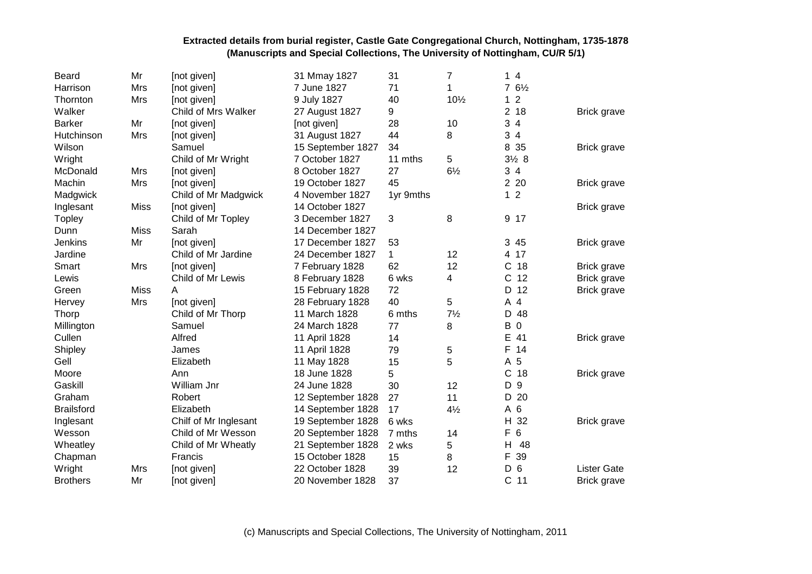| <b>Beard</b>      | Mr          | [not given]           | 31 Mmay 1827      | 31          | 7              | 14                  |                    |
|-------------------|-------------|-----------------------|-------------------|-------------|----------------|---------------------|--------------------|
| Harrison          | Mrs         | [not given]           | 7 June 1827       | 71          | 1              | $76\frac{1}{2}$     |                    |
| Thornton          | Mrs         | [not given]           | 9 July 1827       | 40          | 101/2          | $\overline{2}$<br>1 |                    |
| Walker            |             | Child of Mrs Walker   | 27 August 1827    | 9           |                | 2 <sub>18</sub>     | <b>Brick grave</b> |
| <b>Barker</b>     | Mr          | [not given]           | [not given]       | 28          | 10             | 34                  |                    |
| Hutchinson        | Mrs         | [not given]           | 31 August 1827    | 44          | 8              | 34                  |                    |
| Wilson            |             | Samuel                | 15 September 1827 | 34          |                | 8 35                | <b>Brick grave</b> |
| Wright            |             | Child of Mr Wright    | 7 October 1827    | 11 mths     | 5              | $3\frac{1}{2}8$     |                    |
| McDonald          | Mrs         | [not given]           | 8 October 1827    | 27          | $6\frac{1}{2}$ | 34                  |                    |
| Machin            | Mrs         | [not given]           | 19 October 1827   | 45          |                | 2 20                | <b>Brick grave</b> |
| Madgwick          |             | Child of Mr Madgwick  | 4 November 1827   | 1yr 9mths   |                | 1 <sub>2</sub>      |                    |
| Inglesant         | <b>Miss</b> | [not given]           | 14 October 1827   |             |                |                     | <b>Brick grave</b> |
| <b>Topley</b>     |             | Child of Mr Topley    | 3 December 1827   | 3           | 8              | 9 17                |                    |
| Dunn              | <b>Miss</b> | Sarah                 | 14 December 1827  |             |                |                     |                    |
| Jenkins           | Mr          | [not given]           | 17 December 1827  | 53          |                | 3 45                | <b>Brick grave</b> |
| Jardine           |             | Child of Mr Jardine   | 24 December 1827  | $\mathbf 1$ | 12             | 4 17                |                    |
| Smart             | Mrs         | [not given]           | 7 February 1828   | 62          | 12             | $\mathsf C$<br>18   | <b>Brick grave</b> |
| Lewis             |             | Child of Mr Lewis     | 8 February 1828   | 6 wks       | 4              | $\mathsf{C}$<br>12  | Brick grave        |
| Green             | Miss        | A                     | 15 February 1828  | 72          |                | D<br>12             | Brick grave        |
| Hervey            | Mrs         | [not given]           | 28 February 1828  | 40          | 5              | A<br>4              |                    |
| Thorp             |             | Child of Mr Thorp     | 11 March 1828     | 6 mths      | $7\frac{1}{2}$ | 48<br>D             |                    |
| Millington        |             | Samuel                | 24 March 1828     | 77          | 8              | B<br>$\mathsf 0$    |                    |
| Cullen            |             | Alfred                | 11 April 1828     | 14          |                | Е<br>41             | Brick grave        |
| Shipley           |             | James                 | 11 April 1828     | 79          | 5              | F<br>14             |                    |
| Gell              |             | Elizabeth             | 11 May 1828       | 15          | 5              | 5<br>Α              |                    |
| Moore             |             | Ann                   | 18 June 1828      | 5           |                | $\mathsf{C}$<br>18  | <b>Brick grave</b> |
| Gaskill           |             | William Jnr           | 24 June 1828      | 30          | 12             | 9<br>D              |                    |
| Graham            |             | Robert                | 12 September 1828 | 27          | 11             | 20<br>D             |                    |
| <b>Brailsford</b> |             | Elizabeth             | 14 September 1828 | 17          | $4\frac{1}{2}$ | A 6                 |                    |
| Inglesant         |             | Chilf of Mr Inglesant | 19 September 1828 | 6 wks       |                | H<br>32             | <b>Brick grave</b> |
| Wesson            |             | Child of Mr Wesson    | 20 September 1828 | 7 mths      | 14             | $\,6\,$<br>F        |                    |
| Wheatley          |             | Child of Mr Wheatly   | 21 September 1828 | 2 wks       | 5              | 48<br>Н             |                    |
| Chapman           |             | Francis               | 15 October 1828   | 15          | 8              | F<br>39             |                    |
| Wright            | Mrs         | [not given]           | 22 October 1828   | 39          | 12             | 6<br>D              | <b>Lister Gate</b> |
| <b>Brothers</b>   | Mr          | [not given]           | 20 November 1828  | 37          |                | $\mathsf{C}$<br>11  | Brick grave        |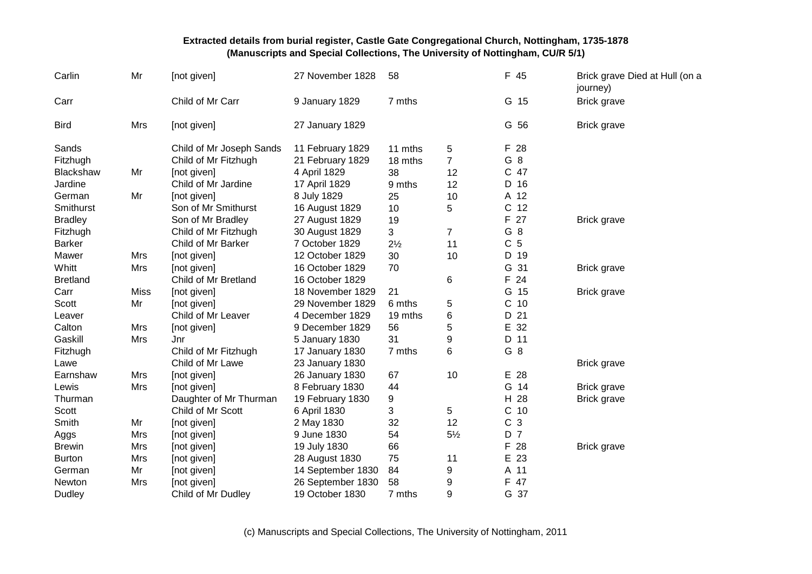| Carlin          | Mr          | [not given]              | 27 November 1828  | 58             |                | F 45           | Brick grave Died at Hull (on a<br>journey) |
|-----------------|-------------|--------------------------|-------------------|----------------|----------------|----------------|--------------------------------------------|
| Carr            |             | Child of Mr Carr         | 9 January 1829    | 7 mths         |                | G 15           | Brick grave                                |
| <b>Bird</b>     | Mrs         | [not given]              | 27 January 1829   |                |                | G 56           | Brick grave                                |
| Sands           |             | Child of Mr Joseph Sands | 11 February 1829  | 11 mths        | 5              | F 28           |                                            |
| Fitzhugh        |             | Child of Mr Fitzhugh     | 21 February 1829  | 18 mths        | $\overline{7}$ | G 8            |                                            |
| Blackshaw       | Mr          | [not given]              | 4 April 1829      | 38             | 12             | C 47           |                                            |
| Jardine         |             | Child of Mr Jardine      | 17 April 1829     | 9 mths         | 12             | D 16           |                                            |
| German          | Mr          | [not given]              | 8 July 1829       | 25             | 10             | A 12           |                                            |
| Smithurst       |             | Son of Mr Smithurst      | 16 August 1829    | 10             | 5              | C 12           |                                            |
| <b>Bradley</b>  |             | Son of Mr Bradley        | 27 August 1829    | 19             |                | F 27           | <b>Brick grave</b>                         |
| Fitzhugh        |             | Child of Mr Fitzhugh     | 30 August 1829    | 3              | $\overline{7}$ | G 8            |                                            |
| <b>Barker</b>   |             | Child of Mr Barker       | 7 October 1829    | $2\frac{1}{2}$ | 11             | C <sub>5</sub> |                                            |
| Mawer           | Mrs         | [not given]              | 12 October 1829   | 30             | 10             | D 19           |                                            |
| Whitt           | Mrs         | [not given]              | 16 October 1829   | 70             |                | G 31           | Brick grave                                |
| <b>Bretland</b> |             | Child of Mr Bretland     | 16 October 1829   |                | 6              | F 24           |                                            |
| Carr            | <b>Miss</b> | [not given]              | 18 November 1829  | 21             |                | G 15           | Brick grave                                |
| Scott           | Mr          | [not given]              | 29 November 1829  | 6 mths         | 5              | $C$ 10         |                                            |
| Leaver          |             | Child of Mr Leaver       | 4 December 1829   | 19 mths        | 6              | D 21           |                                            |
| Calton          | Mrs         | [not given]              | 9 December 1829   | 56             | 5              | E 32           |                                            |
| Gaskill         | Mrs         | Jnr                      | 5 January 1830    | 31             | 9              | D 11           |                                            |
| Fitzhugh        |             | Child of Mr Fitzhugh     | 17 January 1830   | 7 mths         | 6              | G 8            |                                            |
| Lawe            |             | Child of Mr Lawe         | 23 January 1830   |                |                |                | <b>Brick grave</b>                         |
| Earnshaw        | Mrs         | [not given]              | 26 January 1830   | 67             | 10             | E 28           |                                            |
| Lewis           | Mrs         | [not given]              | 8 February 1830   | 44             |                | G 14           | Brick grave                                |
| Thurman         |             | Daughter of Mr Thurman   | 19 February 1830  | 9              |                | H 28           | Brick grave                                |
| <b>Scott</b>    |             | Child of Mr Scott        | 6 April 1830      | 3              | 5              | $C$ 10         |                                            |
| Smith           | Mr          | [not given]              | 2 May 1830        | 32             | 12             | C <sub>3</sub> |                                            |
| Aggs            | Mrs         | [not given]              | 9 June 1830       | 54             | $5\frac{1}{2}$ | D 7            |                                            |
| <b>Brewin</b>   | <b>Mrs</b>  | [not given]              | 19 July 1830      | 66             |                | F 28           | Brick grave                                |
| <b>Burton</b>   | Mrs         | [not given]              | 28 August 1830    | 75             | 11             | E 23           |                                            |
| German          | Mr          | [not given]              | 14 September 1830 | 84             | 9              | A 11           |                                            |
| Newton          | Mrs         | [not given]              | 26 September 1830 | 58             | 9              | F 47           |                                            |
| <b>Dudley</b>   |             | Child of Mr Dudley       | 19 October 1830   | 7 mths         | 9              | G 37           |                                            |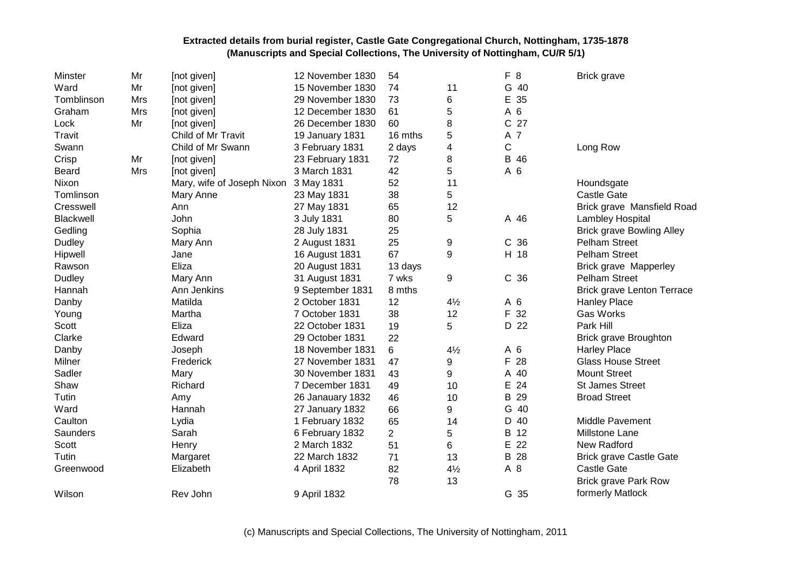| Minster          | Mr  | [not given]                | 12 November 1830 | 54             |                | 8<br>F.         | <b>Brick grave</b>                |
|------------------|-----|----------------------------|------------------|----------------|----------------|-----------------|-----------------------------------|
| Ward             | Mr  | [not given]                | 15 November 1830 | 74             | 11             | G 40            |                                   |
| Tomblinson       | Mrs | [not given]                | 29 November 1830 | 73             | 6              | E 35            |                                   |
| Graham           | Mrs | [not given]                | 12 December 1830 | 61             | 5              | A 6             |                                   |
| Lock             | Mr  | [not given]                | 26 December 1830 | 60             | 8              | C 27            |                                   |
| Travit           |     | Child of Mr Travit         | 19 January 1831  | 16 mths        | 5              | A 7             |                                   |
| Swann            |     | Child of Mr Swann          | 3 February 1831  | 2 days         | 4              | C               | Long Row                          |
| Crisp            | Mr  | [not given]                | 23 February 1831 | 72             | 8              | B 46            |                                   |
| <b>Beard</b>     | Mrs | [not given]                | 3 March 1831     | 42             | 5              | A 6             |                                   |
| Nixon            |     | Mary, wife of Joseph Nixon | 3 May 1831       | 52             | 11             |                 | Houndsgate                        |
| Tomlinson        |     | Mary Anne                  | 23 May 1831      | 38             | 5              |                 | <b>Castle Gate</b>                |
| Cresswell        |     | Ann                        | 27 May 1831      | 65             | 12             |                 | Brick grave Mansfield Road        |
| <b>Blackwell</b> |     | John                       | 3 July 1831      | 80             | 5              | A 46            | Lambley Hospital                  |
| Gedling          |     | Sophia                     | 28 July 1831     | 25             |                |                 | <b>Brick grave Bowling Alley</b>  |
| Dudley           |     | Mary Ann                   | 2 August 1831    | 25             | 9              | C <sub>36</sub> | Pelham Street                     |
| Hipwell          |     | Jane                       | 16 August 1831   | 67             | 9              | H 18            | <b>Pelham Street</b>              |
| Rawson           |     | Eliza                      | 20 August 1831   | 13 days        |                |                 | <b>Brick grave Mapperley</b>      |
| Dudley           |     | Mary Ann                   | 31 August 1831   | 7 wks          | 9              | C <sub>36</sub> | <b>Pelham Street</b>              |
| Hannah           |     | Ann Jenkins                | 9 September 1831 | 8 mths         |                |                 | <b>Brick grave Lenton Terrace</b> |
| Danby            |     | Matilda                    | 2 October 1831   | 12             | $4\frac{1}{2}$ | A 6             | <b>Hanley Place</b>               |
| Young            |     | Martha                     | 7 October 1831   | 38             | 12             | 32<br>F.        | <b>Gas Works</b>                  |
| Scott            |     | Eliza                      | 22 October 1831  | 19             | 5              | D 22            | Park Hill                         |
| Clarke           |     | Edward                     | 29 October 1831  | 22             |                |                 | <b>Brick grave Broughton</b>      |
| Danby            |     | Joseph                     | 18 November 1831 | 6              | $4\frac{1}{2}$ | A 6             | <b>Harley Place</b>               |
| Milner           |     | Frederick                  | 27 November 1831 | 47             | 9              | F.<br>28        | <b>Glass House Street</b>         |
| Sadler           |     | Mary                       | 30 November 1831 | 43             | 9              | A 40            | <b>Mount Street</b>               |
| Shaw             |     | Richard                    | 7 December 1831  | 49             | 10             | 24<br>E         | <b>St James Street</b>            |
| Tutin            |     | Amy                        | 26 Janauary 1832 | 46             | 10             | 29<br>B         | <b>Broad Street</b>               |
| Ward             |     | Hannah                     | 27 January 1832  | 66             | 9              | G 40            |                                   |
| Caulton          |     | Lydia                      | 1 February 1832  | 65             | 14             | D 40            | Middle Pavement                   |
| Saunders         |     | Sarah                      | 6 February 1832  | $\overline{2}$ | 5              | 12<br>B         | Millstone Lane                    |
| Scott            |     | Henry                      | 2 March 1832     | 51             | 6              | E<br>22         | New Radford                       |
| Tutin            |     | Margaret                   | 22 March 1832    | 71             | 13             | B 28            | <b>Brick grave Castle Gate</b>    |
| Greenwood        |     | Elizabeth                  | 4 April 1832     | 82             | $4\frac{1}{2}$ | A 8             | <b>Castle Gate</b>                |
|                  |     |                            |                  | 78             | 13             |                 | <b>Brick grave Park Row</b>       |
| Wilson           |     | Rev John                   | 9 April 1832     |                |                | G 35            | formerly Matlock                  |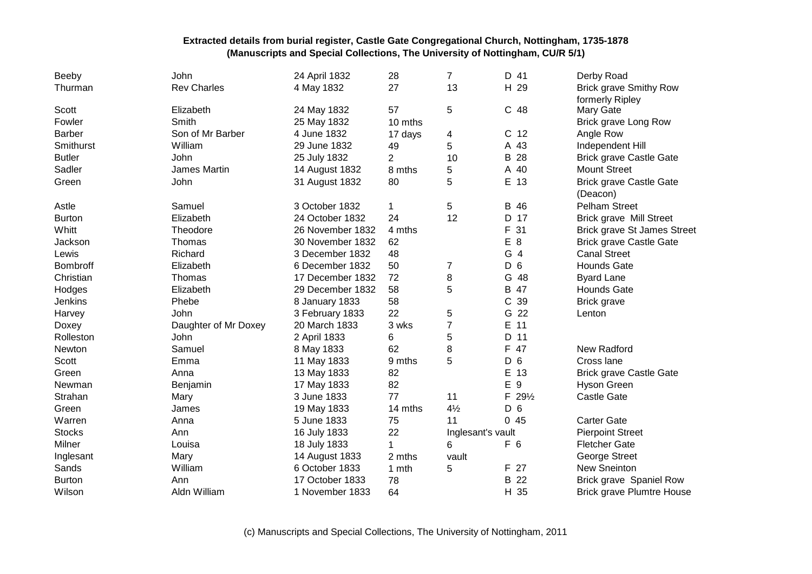| Beeby           | John                 | 24 April 1832    | 28             | $\overline{7}$    | D 41                 | Derby Road                         |
|-----------------|----------------------|------------------|----------------|-------------------|----------------------|------------------------------------|
| Thurman         | <b>Rev Charles</b>   | 4 May 1832       | 27             | 13                | H 29                 | <b>Brick grave Smithy Row</b>      |
|                 |                      |                  |                |                   |                      | formerly Ripley                    |
| Scott           | Elizabeth            | 24 May 1832      | 57             | 5                 | C 48                 | Mary Gate                          |
| Fowler          | Smith                | 25 May 1832      | 10 mths        |                   |                      | Brick grave Long Row               |
| <b>Barber</b>   | Son of Mr Barber     | 4 June 1832      | 17 days        | 4                 | C <sub>12</sub>      | Angle Row                          |
| Smithurst       | William              | 29 June 1832     | 49             | 5                 | A 43                 | Independent Hill                   |
| <b>Butler</b>   | John                 | 25 July 1832     | $\overline{2}$ | 10                | В<br>28              | <b>Brick grave Castle Gate</b>     |
| Sadler          | James Martin         | 14 August 1832   | 8 mths         | 5                 | A 40                 | <b>Mount Street</b>                |
| Green           | John                 | 31 August 1832   | 80             | 5                 | E 13                 | <b>Brick grave Castle Gate</b>     |
|                 |                      |                  |                |                   |                      | (Deacon)                           |
| Astle           | Samuel               | 3 October 1832   | 1              | 5                 | B 46                 | <b>Pelham Street</b>               |
| <b>Burton</b>   | Elizabeth            | 24 October 1832  | 24             | 12                | D 17                 | <b>Brick grave Mill Street</b>     |
| Whitt           | Theodore             | 26 November 1832 | 4 mths         |                   | F<br>31              | <b>Brick grave St James Street</b> |
| Jackson         | Thomas               | 30 November 1832 | 62             |                   | E<br>8               | <b>Brick grave Castle Gate</b>     |
| Lewis           | Richard              | 3 December 1832  | 48             |                   | G 4                  | <b>Canal Street</b>                |
| <b>Bombroff</b> | Elizabeth            | 6 December 1832  | 50             | 7                 | D<br>$6\phantom{1}6$ | <b>Hounds Gate</b>                 |
| Christian       | Thomas               | 17 December 1832 | 72             | 8                 | G<br>48              | <b>Byard Lane</b>                  |
| Hodges          | Elizabeth            | 29 December 1832 | 58             | 5                 | B<br>47              | <b>Hounds Gate</b>                 |
| Jenkins         | Phebe                | 8 January 1833   | 58             |                   | С<br>39              | <b>Brick grave</b>                 |
| Harvey          | John                 | 3 February 1833  | 22             | 5                 | G<br>22              | Lenton                             |
| Doxey           | Daughter of Mr Doxey | 20 March 1833    | 3 wks          | $\overline{7}$    | E<br>11              |                                    |
| Rolleston       | John                 | 2 April 1833     | 6              | 5                 | 11<br>D              |                                    |
| Newton          | Samuel               | 8 May 1833       | 62             | 8                 | F<br>47              | New Radford                        |
| <b>Scott</b>    | Emma                 | 11 May 1833      | 9 mths         | 5                 | 6<br>D               | Cross lane                         |
| Green           | Anna                 | 13 May 1833      | 82             |                   | Е<br>13              | <b>Brick grave Castle Gate</b>     |
| Newman          | Benjamin             | 17 May 1833      | 82             |                   | E<br>9               | <b>Hyson Green</b>                 |
| Strahan         | Mary                 | 3 June 1833      | 77             | 11                | F 291/2              | <b>Castle Gate</b>                 |
| Green           | James                | 19 May 1833      | 14 mths        | $4\frac{1}{2}$    | D <sub>6</sub>       |                                    |
| Warren          | Anna                 | 5 June 1833      | 75             | 11                | 045                  | <b>Carter Gate</b>                 |
| <b>Stocks</b>   | Ann                  | 16 July 1833     | 22             | Inglesant's vault |                      | <b>Pierpoint Street</b>            |
| Milner          | Louisa               | 18 July 1833     | 1              | 6                 | F 6                  | <b>Fletcher Gate</b>               |
| Inglesant       | Mary                 | 14 August 1833   | 2 mths         | vault             |                      | George Street                      |
| Sands           | William              | 6 October 1833   | 1 mth          | 5                 | F 27                 | New Sneinton                       |
| <b>Burton</b>   | Ann                  | 17 October 1833  | 78             |                   | 22<br>B              | Brick grave Spaniel Row            |
| Wilson          | Aldn William         | 1 November 1833  | 64             |                   | H 35                 | <b>Brick grave Plumtre House</b>   |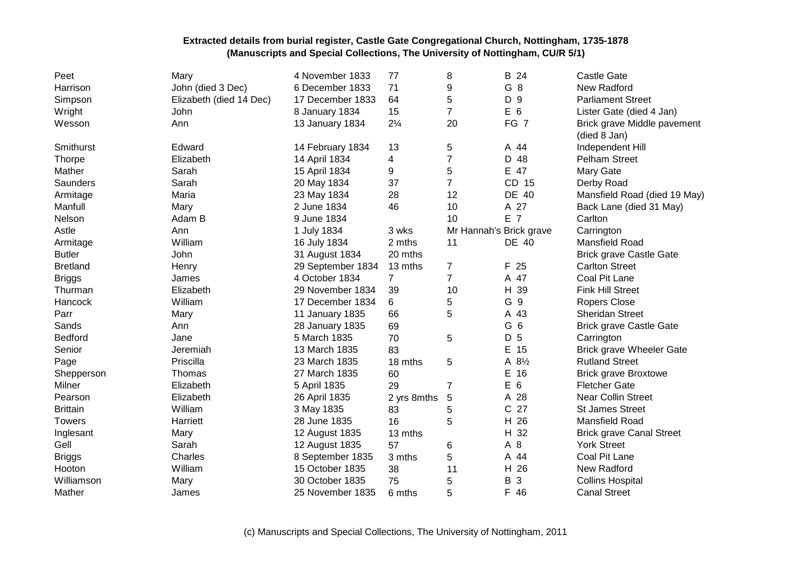| Peet            | Mary                    | 4 November 1833   | 77             | 8              | B 24                    | Castle Gate                                 |
|-----------------|-------------------------|-------------------|----------------|----------------|-------------------------|---------------------------------------------|
| Harrison        | John (died 3 Dec)       | 6 December 1833   | 71             | 9              | G <sub>8</sub>          | New Radford                                 |
| Simpson         | Elizabeth (died 14 Dec) | 17 December 1833  | 64             | 5              | D 9                     | <b>Parliament Street</b>                    |
| Wright          | John                    | 8 January 1834    | 15             | $\overline{7}$ | E 6                     | Lister Gate (died 4 Jan)                    |
| Wesson          | Ann                     | 13 January 1834   | $2\frac{1}{4}$ | 20             | FG 7                    | Brick grave Middle pavement<br>(died 8 Jan) |
| Smithurst       | Edward                  | 14 February 1834  | 13             | 5              | A 44                    | Independent Hill                            |
| Thorpe          | Elizabeth               | 14 April 1834     | 4              | 7              | D 48                    | <b>Pelham Street</b>                        |
| Mather          | Sarah                   | 15 April 1834     | 9              | 5              | E 47                    | Mary Gate                                   |
| Saunders        | Sarah                   | 20 May 1834       | 37             | $\overline{7}$ | CD 15                   | Derby Road                                  |
| Armitage        | Maria                   | 23 May 1834       | 28             | 12             | DE 40                   | Mansfield Road (died 19 May)                |
| Manfull         | Mary                    | 2 June 1834       | 46             | 10             | A 27                    | Back Lane (died 31 May)                     |
| Nelson          | Adam B                  | 9 June 1834       |                | 10             | E 7                     | Carlton                                     |
| Astle           | Ann                     | 1 July 1834       | 3 wks          |                | Mr Hannah's Brick grave | Carrington                                  |
| Armitage        | William                 | 16 July 1834      | 2 mths         | 11             | DE 40                   | Mansfield Road                              |
| <b>Butler</b>   | John                    | 31 August 1834    | 20 mths        |                |                         | <b>Brick grave Castle Gate</b>              |
| <b>Bretland</b> | Henry                   | 29 September 1834 | 13 mths        | $\overline{7}$ | F 25                    | <b>Carlton Street</b>                       |
| <b>Briggs</b>   | James                   | 4 October 1834    | 7              | $\overline{7}$ | A 47                    | Coal Pit Lane                               |
| Thurman         | Elizabeth               | 29 November 1834  | 39             | 10             | H 39                    | <b>Fink Hill Street</b>                     |
| Hancock         | William                 | 17 December 1834  | 6              | 5              | G 9                     | <b>Ropers Close</b>                         |
| Parr            | Mary                    | 11 January 1835   | 66             | 5              | A 43                    | <b>Sheridan Street</b>                      |
| Sands           | Ann                     | 28 January 1835   | 69             |                | G 6                     | <b>Brick grave Castle Gate</b>              |
| Bedford         | Jane                    | 5 March 1835      | 70             | 5              | D 5                     | Carrington                                  |
| Senior          | Jeremiah                | 13 March 1835     | 83             |                | E 15                    | <b>Brick grave Wheeler Gate</b>             |
| Page            | Priscilla               | 23 March 1835     | 18 mths        | 5              | A 81/2                  | <b>Rutland Street</b>                       |
| Shepperson      | Thomas                  | 27 March 1835     | 60             |                | E 16                    | <b>Brick grave Broxtowe</b>                 |
| Milner          | Elizabeth               | 5 April 1835      | 29             | $\overline{7}$ | E 6                     | <b>Fletcher Gate</b>                        |
| Pearson         | Elizabeth               | 26 April 1835     | 2 yrs 8mths    | 5              | A 28                    | <b>Near Collin Street</b>                   |
| <b>Brittain</b> | William                 | 3 May 1835        | 83             | 5              | C 27                    | <b>St James Street</b>                      |
| <b>Towers</b>   | Harriett                | 28 June 1835      | 16             | 5              | H 26                    | Mansfield Road                              |
| Inglesant       | Mary                    | 12 August 1835    | 13 mths        |                | H 32                    | <b>Brick grave Canal Street</b>             |
| Gell            | Sarah                   | 12 August 1835    | 57             | 6              | A 8                     | <b>York Street</b>                          |
| <b>Briggs</b>   | Charles                 | 8 September 1835  | 3 mths         | 5              | A 44                    | Coal Pit Lane                               |
| Hooton          | William                 | 15 October 1835   | 38             | 11             | H 26                    | New Radford                                 |
| Williamson      | Mary                    | 30 October 1835   | 75             | 5              | B<br>3                  | <b>Collins Hospital</b>                     |
| Mather          | James                   | 25 November 1835  | 6 mths         | 5              | F 46                    | <b>Canal Street</b>                         |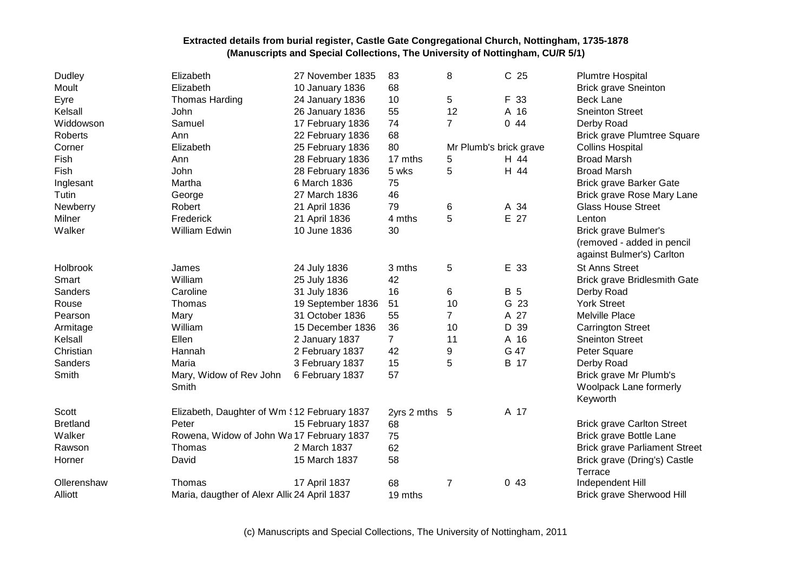| <b>Dudley</b>   | Elizabeth                                    | 27 November 1835  | 83             | 8                      | C <sub>25</sub> | <b>Plumtre Hospital</b>              |
|-----------------|----------------------------------------------|-------------------|----------------|------------------------|-----------------|--------------------------------------|
| Moult           | Elizabeth                                    | 10 January 1836   | 68             |                        |                 | <b>Brick grave Sneinton</b>          |
| Eyre            | <b>Thomas Harding</b>                        | 24 January 1836   | 10             | 5                      | F 33            | <b>Beck Lane</b>                     |
| Kelsall         | John                                         | 26 January 1836   | 55             | 12                     | A 16            | <b>Sneinton Street</b>               |
| Widdowson       | Samuel                                       | 17 February 1836  | 74             | $\overline{7}$         | 0.44            | Derby Road                           |
| Roberts         | Ann                                          | 22 February 1836  | 68             |                        |                 | <b>Brick grave Plumtree Square</b>   |
| Corner          | Elizabeth                                    | 25 February 1836  | 80             | Mr Plumb's brick grave |                 | <b>Collins Hospital</b>              |
| Fish            | Ann                                          | 28 February 1836  | 17 mths        | 5                      | H 44            | <b>Broad Marsh</b>                   |
| Fish            | John                                         | 28 February 1836  | 5 wks          | 5                      | H 44            | <b>Broad Marsh</b>                   |
| Inglesant       | Martha                                       | 6 March 1836      | 75             |                        |                 | <b>Brick grave Barker Gate</b>       |
| Tutin           | George                                       | 27 March 1836     | 46             |                        |                 | Brick grave Rose Mary Lane           |
| Newberry        | Robert                                       | 21 April 1836     | 79             | 6                      | A 34            | <b>Glass House Street</b>            |
| Milner          | Frederick                                    | 21 April 1836     | 4 mths         | 5                      | E 27            | Lenton                               |
| Walker          | <b>William Edwin</b>                         | 10 June 1836      | 30             |                        |                 | Brick grave Bulmer's                 |
|                 |                                              |                   |                |                        |                 | (removed - added in pencil           |
|                 |                                              |                   |                |                        |                 | against Bulmer's) Carlton            |
| Holbrook        | James                                        | 24 July 1836      | 3 mths         | 5                      | E 33            | <b>St Anns Street</b>                |
| Smart           | William                                      | 25 July 1836      | 42             |                        |                 | Brick grave Bridlesmith Gate         |
| Sanders         | Caroline                                     | 31 July 1836      | 16             | 6                      | <b>B</b> 5      | Derby Road                           |
| Rouse           | Thomas                                       | 19 September 1836 | 51             | 10                     | G 23            | <b>York Street</b>                   |
| Pearson         | Mary                                         | 31 October 1836   | 55             | $\overline{7}$         | A 27            | Melville Place                       |
| Armitage        | William                                      | 15 December 1836  | 36             | 10                     | D 39            | <b>Carrington Street</b>             |
| Kelsall         | Ellen                                        | 2 January 1837    | $\overline{7}$ | 11                     | A 16            | <b>Sneinton Street</b>               |
| Christian       | Hannah                                       | 2 February 1837   | 42             | 9                      | G 47            | Peter Square                         |
| Sanders         | Maria                                        | 3 February 1837   | 15             | 5                      | B 17            | Derby Road                           |
| Smith           | Mary, Widow of Rev John                      | 6 February 1837   | 57             |                        |                 | Brick grave Mr Plumb's               |
|                 | Smith                                        |                   |                |                        |                 | Woolpack Lane formerly               |
|                 |                                              |                   |                |                        |                 | Keyworth                             |
| Scott           | Elizabeth, Daughter of Wm \$12 February 1837 |                   | 2yrs 2 mths 5  |                        | A 17            |                                      |
| <b>Bretland</b> | Peter                                        | 15 February 1837  | 68             |                        |                 | <b>Brick grave Carlton Street</b>    |
| Walker          | Rowena, Widow of John Wa17 February 1837     |                   | 75             |                        |                 | Brick grave Bottle Lane              |
| Rawson          | Thomas                                       | 2 March 1837      | 62             |                        |                 | <b>Brick grave Parliament Street</b> |
| Horner          | David                                        | 15 March 1837     | 58             |                        |                 | Brick grave (Dring's) Castle         |
|                 |                                              |                   |                |                        |                 | Terrace                              |
| Ollerenshaw     | Thomas                                       | 17 April 1837     | 68             | $\overline{7}$         | 043             | Independent Hill                     |
| Alliott         | Maria, daugther of Alexr Allic 24 April 1837 |                   | 19 mths        |                        |                 | Brick grave Sherwood Hill            |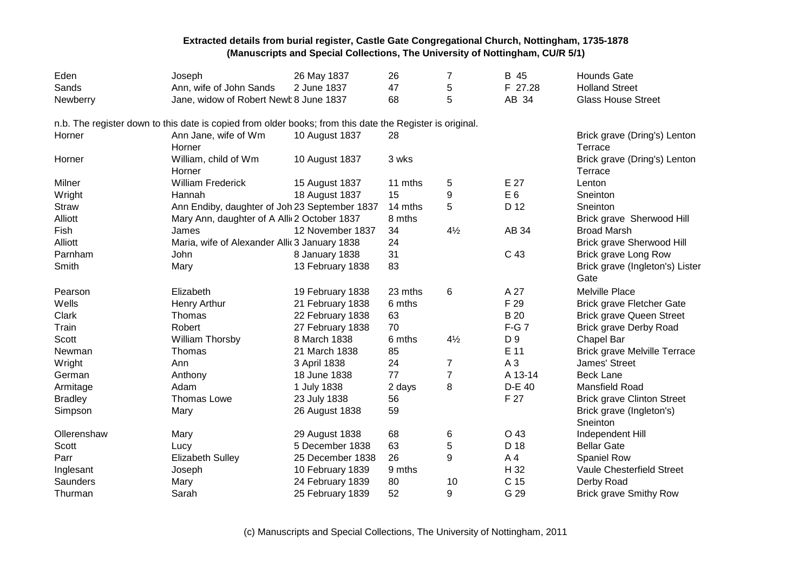| Eden           | Joseph                                                                                                   | 26 May 1837      | 26      | 7              | B 45           | <b>Hounds Gate</b>                      |
|----------------|----------------------------------------------------------------------------------------------------------|------------------|---------|----------------|----------------|-----------------------------------------|
| Sands          | Ann, wife of John Sands                                                                                  | 2 June 1837      | 47      | 5              | F 27.28        | <b>Holland Street</b>                   |
| Newberry       | Jane, widow of Robert Newt 8 June 1837                                                                   |                  | 68      | 5              | AB 34          | <b>Glass House Street</b>               |
|                | n.b. The register down to this date is copied from older books; from this date the Register is original. |                  |         |                |                |                                         |
| Horner         | Ann Jane, wife of Wm<br>Horner                                                                           | 10 August 1837   | 28      |                |                | Brick grave (Dring's) Lenton<br>Terrace |
| Horner         | William, child of Wm<br>Horner                                                                           | 10 August 1837   | 3 wks   |                |                | Brick grave (Dring's) Lenton<br>Terrace |
| Milner         | <b>William Frederick</b>                                                                                 | 15 August 1837   | 11 mths | 5              | E 27           | Lenton                                  |
| Wright         | Hannah                                                                                                   | 18 August 1837   | 15      | 9              | E <sub>6</sub> | Sneinton                                |
| <b>Straw</b>   | Ann Endiby, daughter of Joh 23 September 1837                                                            |                  | 14 mths | 5              | D 12           | Sneinton                                |
| Alliott        | Mary Ann, daughter of A Alli 2 October 1837                                                              |                  | 8 mths  |                |                | Brick grave Sherwood Hill               |
| Fish           | James                                                                                                    | 12 November 1837 | 34      | $4\frac{1}{2}$ | AB 34          | <b>Broad Marsh</b>                      |
| Alliott        | Maria, wife of Alexander Allic 3 January 1838                                                            |                  | 24      |                |                | <b>Brick grave Sherwood Hill</b>        |
| Parnham        | John                                                                                                     | 8 January 1838   | 31      |                | C 43           | Brick grave Long Row                    |
| Smith          | Mary                                                                                                     | 13 February 1838 | 83      |                |                | Brick grave (Ingleton's) Lister<br>Gate |
| Pearson        | Elizabeth                                                                                                | 19 February 1838 | 23 mths | 6              | A 27           | Melville Place                          |
| Wells          | <b>Henry Arthur</b>                                                                                      | 21 February 1838 | 6 mths  |                | F 29           | <b>Brick grave Fletcher Gate</b>        |
| Clark          | Thomas                                                                                                   | 22 February 1838 | 63      |                | <b>B</b> 20    | <b>Brick grave Queen Street</b>         |
| Train          | Robert                                                                                                   | 27 February 1838 | 70      |                | $F-G7$         | Brick grave Derby Road                  |
| Scott          | William Thorsby                                                                                          | 8 March 1838     | 6 mths  | $4\frac{1}{2}$ | D 9            | Chapel Bar                              |
| Newman         | Thomas                                                                                                   | 21 March 1838    | 85      |                | E 11           | <b>Brick grave Melville Terrace</b>     |
| Wright         | Ann                                                                                                      | 3 April 1838     | 24      | 7              | $A_3$          | James' Street                           |
| German         | Anthony                                                                                                  | 18 June 1838     | 77      | $\overline{7}$ | A 13-14        | <b>Beck Lane</b>                        |
| Armitage       | Adam                                                                                                     | 1 July 1838      | 2 days  | 8              | D-E 40         | Mansfield Road                          |
| <b>Bradley</b> | <b>Thomas Lowe</b>                                                                                       | 23 July 1838     | 56      |                | F 27           | <b>Brick grave Clinton Street</b>       |
| Simpson        | Mary                                                                                                     | 26 August 1838   | 59      |                |                | Brick grave (Ingleton's)                |
|                |                                                                                                          |                  |         |                |                | Sneinton                                |
| Ollerenshaw    | Mary                                                                                                     | 29 August 1838   | 68      | 6              | O 43           | Independent Hill                        |
| Scott          | Lucy                                                                                                     | 5 December 1838  | 63      | 5              | D 18           | <b>Bellar Gate</b>                      |
| Parr           | <b>Elizabeth Sulley</b>                                                                                  | 25 December 1838 | 26      | 9              | A4             | Spaniel Row                             |
| Inglesant      | Joseph                                                                                                   | 10 February 1839 | 9 mths  |                | H 32           | Vaule Chesterfield Street               |
| Saunders       | Mary                                                                                                     | 24 February 1839 | 80      | 10             | C 15           | Derby Road                              |
| Thurman        | Sarah                                                                                                    | 25 February 1839 | 52      | 9              | G 29           | <b>Brick grave Smithy Row</b>           |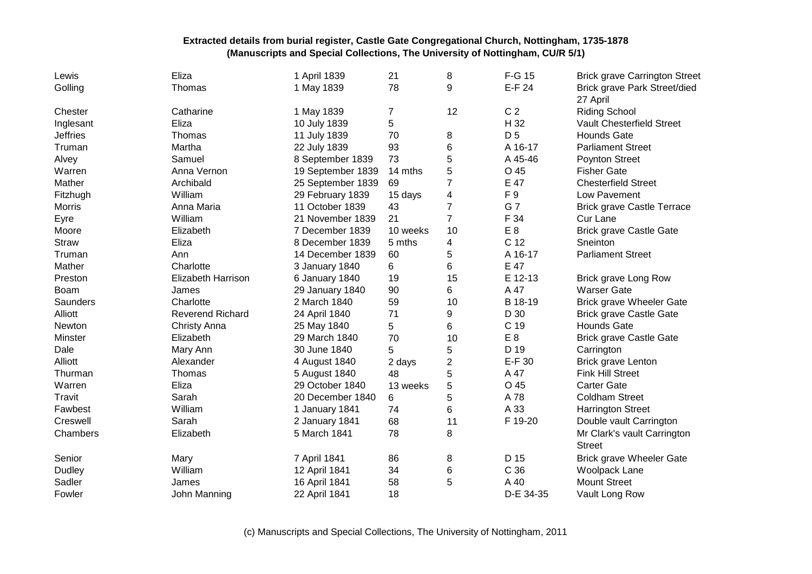| Lewis           | Eliza                   | 1 April 1839      | 21       | 8                       | F-G 15         | <b>Brick grave Carrington Street</b> |
|-----------------|-------------------------|-------------------|----------|-------------------------|----------------|--------------------------------------|
| Golling         | Thomas                  | 1 May 1839        | 78       | 9                       | E-F 24         | Brick grave Park Street/died         |
|                 |                         |                   |          |                         |                | 27 April                             |
| Chester         | Catharine               | 1 May 1839        | 7        | 12                      | C <sub>2</sub> | <b>Riding School</b>                 |
| Inglesant       | Eliza                   | 10 July 1839      | 5        |                         | H 32           | <b>Vault Chesterfield Street</b>     |
| <b>Jeffries</b> | Thomas                  | 11 July 1839      | 70       | 8                       | D <sub>5</sub> | <b>Hounds Gate</b>                   |
| Truman          | Martha                  | 22 July 1839      | 93       | 6                       | A 16-17        | <b>Parliament Street</b>             |
| Alvey           | Samuel                  | 8 September 1839  | 73       | 5                       | A 45-46        | <b>Poynton Street</b>                |
| Warren          | Anna Vernon             | 19 September 1839 | 14 mths  | 5                       | O 45           | <b>Fisher Gate</b>                   |
| Mather          | Archibald               | 25 September 1839 | 69       | $\overline{7}$          | E 47           | <b>Chesterfield Street</b>           |
| Fitzhugh        | William                 | 29 February 1839  | 15 days  | $\overline{\mathbf{4}}$ | F 9            | Low Pavement                         |
| <b>Morris</b>   | Anna Maria              | 11 October 1839   | 43       | $\overline{7}$          | G 7            | <b>Brick grave Castle Terrace</b>    |
| Eyre            | William                 | 21 November 1839  | 21       | $\overline{7}$          | F 34           | Cur Lane                             |
| Moore           | Elizabeth               | 7 December 1839   | 10 weeks | 10                      | E <sub>8</sub> | <b>Brick grave Castle Gate</b>       |
| Straw           | Eliza                   | 8 December 1839   | 5 mths   | 4                       | C 12           | Sneinton                             |
| Truman          | Ann                     | 14 December 1839  | 60       | 5                       | A 16-17        | <b>Parliament Street</b>             |
| Mather          | Charlotte               | 3 January 1840    | 6        | 6                       | E 47           |                                      |
| Preston         | Elizabeth Harrison      | 6 January 1840    | 19       | 15                      | E 12-13        | Brick grave Long Row                 |
| Boam            | James                   | 29 January 1840   | 90       | 6                       | A 47           | <b>Warser Gate</b>                   |
| Saunders        | Charlotte               | 2 March 1840      | 59       | 10                      | B 18-19        | <b>Brick grave Wheeler Gate</b>      |
| Alliott         | <b>Reverend Richard</b> | 24 April 1840     | 71       | 9                       | D 30           | <b>Brick grave Castle Gate</b>       |
| Newton          | Christy Anna            | 25 May 1840       | 5        | 6                       | C 19           | <b>Hounds Gate</b>                   |
| Minster         | Elizabeth               | 29 March 1840     | 70       | 10                      | E <sub>8</sub> | <b>Brick grave Castle Gate</b>       |
| Dale            | Mary Ann                | 30 June 1840      | 5        | 5                       | D 19           | Carrington                           |
| Alliott         | Alexander               | 4 August 1840     | 2 days   | $\boldsymbol{2}$        | E-F 30         | <b>Brick grave Lenton</b>            |
| Thurman         | Thomas                  | 5 August 1840     | 48       | 5                       | A 47           | <b>Fink Hill Street</b>              |
| Warren          | Eliza                   | 29 October 1840   | 13 weeks | 5                       | O 45           | <b>Carter Gate</b>                   |
| Travit          | Sarah                   | 20 December 1840  | 6        | 5                       | A 78           | <b>Coldham Street</b>                |
| Fawbest         | William                 | 1 January 1841    | 74       | 6                       | A 33           | <b>Harrington Street</b>             |
| Creswell        | Sarah                   | 2 January 1841    | 68       | 11                      | F 19-20        | Double vault Carrington              |
| Chambers        | Elizabeth               | 5 March 1841      | 78       | 8                       |                | Mr Clark's vault Carrington          |
|                 |                         |                   |          |                         |                | <b>Street</b>                        |
| Senior          | Mary                    | 7 April 1841      | 86       | 8                       | D 15           | <b>Brick grave Wheeler Gate</b>      |
| Dudley          | William                 | 12 April 1841     | 34       | 6                       | C 36           | Woolpack Lane                        |
| Sadler          | James                   | 16 April 1841     | 58       | 5                       | A 40           | <b>Mount Street</b>                  |
| Fowler          | John Manning            | 22 April 1841     | 18       |                         | D-E 34-35      | Vault Long Row                       |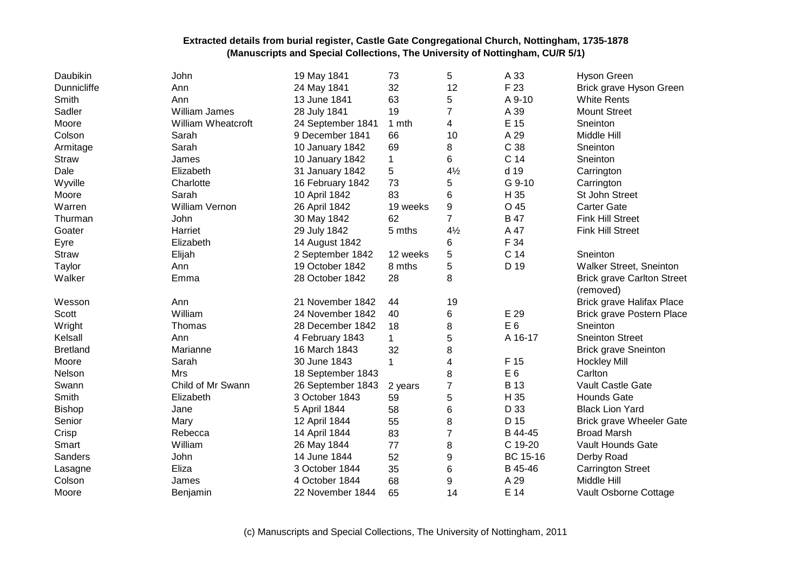| Daubikin           | John                 | 19 May 1841       | 73           | 5                | A 33           | <b>Hyson Green</b>                |
|--------------------|----------------------|-------------------|--------------|------------------|----------------|-----------------------------------|
| <b>Dunnicliffe</b> | Ann                  | 24 May 1841       | 32           | 12               | F 23           | Brick grave Hyson Green           |
| Smith              | Ann                  | 13 June 1841      | 63           | 5                | A 9-10         | <b>White Rents</b>                |
| Sadler             | <b>William James</b> | 28 July 1841      | 19           | 7                | A 39           | <b>Mount Street</b>               |
| Moore              | William Wheatcroft   | 24 September 1841 | 1 mth        | 4                | E 15           | Sneinton                          |
| Colson             | Sarah                | 9 December 1841   | 66           | 10               | A 29           | Middle Hill                       |
| Armitage           | Sarah                | 10 January 1842   | 69           | 8                | C 38           | Sneinton                          |
| Straw              | James                | 10 January 1842   | $\mathbf 1$  | 6                | C 14           | Sneinton                          |
| Dale               | Elizabeth            | 31 January 1842   | 5            | $4\frac{1}{2}$   | d 19           | Carrington                        |
| Wyville            | Charlotte            | 16 February 1842  | 73           | 5                | G 9-10         | Carrington                        |
| Moore              | Sarah                | 10 April 1842     | 83           | 6                | H 35           | St John Street                    |
| Warren             | William Vernon       | 26 April 1842     | 19 weeks     | $\boldsymbol{9}$ | O 45           | <b>Carter Gate</b>                |
| Thurman            | John                 | 30 May 1842       | 62           | $\overline{7}$   | <b>B</b> 47    | <b>Fink Hill Street</b>           |
| Goater             | Harriet              | 29 July 1842      | 5 mths       | $4\frac{1}{2}$   | A 47           | <b>Fink Hill Street</b>           |
| Eyre               | Elizabeth            | 14 August 1842    |              | 6                | F 34           |                                   |
| <b>Straw</b>       | Elijah               | 2 September 1842  | 12 weeks     | 5                | C 14           | Sneinton                          |
| Taylor             | Ann                  | 19 October 1842   | 8 mths       | 5                | D 19           | Walker Street, Sneinton           |
| Walker             | Emma                 | 28 October 1842   | 28           | 8                |                | <b>Brick grave Carlton Street</b> |
|                    |                      |                   |              |                  |                | (removed)                         |
| Wesson             | Ann                  | 21 November 1842  | 44           | 19               |                | <b>Brick grave Halifax Place</b>  |
| Scott              | William              | 24 November 1842  | 40           | 6                | E 29           | Brick grave Postern Place         |
| Wright             | Thomas               | 28 December 1842  | 18           | 8                | E <sub>6</sub> | Sneinton                          |
| Kelsall            | Ann                  | 4 February 1843   | 1            | 5                | A 16-17        | <b>Sneinton Street</b>            |
| <b>Bretland</b>    | Marianne             | 16 March 1843     | 32           | 8                |                | <b>Brick grave Sneinton</b>       |
| Moore              | Sarah                | 30 June 1843      | $\mathbf{1}$ | 4                | F 15           | <b>Hockley Mill</b>               |
| Nelson             | <b>Mrs</b>           | 18 September 1843 |              | 8                | E <sub>6</sub> | Carlton                           |
| Swann              | Child of Mr Swann    | 26 September 1843 | 2 years      | $\overline{7}$   | <b>B</b> 13    | Vault Castle Gate                 |
| Smith              | Elizabeth            | 3 October 1843    | 59           | 5                | H 35           | <b>Hounds Gate</b>                |
| <b>Bishop</b>      | Jane                 | 5 April 1844      | 58           | 6                | D 33           | <b>Black Lion Yard</b>            |
| Senior             | Mary                 | 12 April 1844     | 55           | 8                | D 15           | <b>Brick grave Wheeler Gate</b>   |
| Crisp              | Rebecca              | 14 April 1844     | 83           | $\overline{7}$   | B 44-45        | <b>Broad Marsh</b>                |
| Smart              | William              | 26 May 1844       | 77           | 8                | C 19-20        | Vault Hounds Gate                 |
| Sanders            | John                 | 14 June 1844      | 52           | 9                | BC 15-16       | Derby Road                        |
| Lasagne            | Eliza                | 3 October 1844    | 35           | 6                | B 45-46        | <b>Carrington Street</b>          |
| Colson             | James                | 4 October 1844    | 68           | 9                | A 29           | Middle Hill                       |
| Moore              | Benjamin             | 22 November 1844  | 65           | 14               | E 14           | Vault Osborne Cottage             |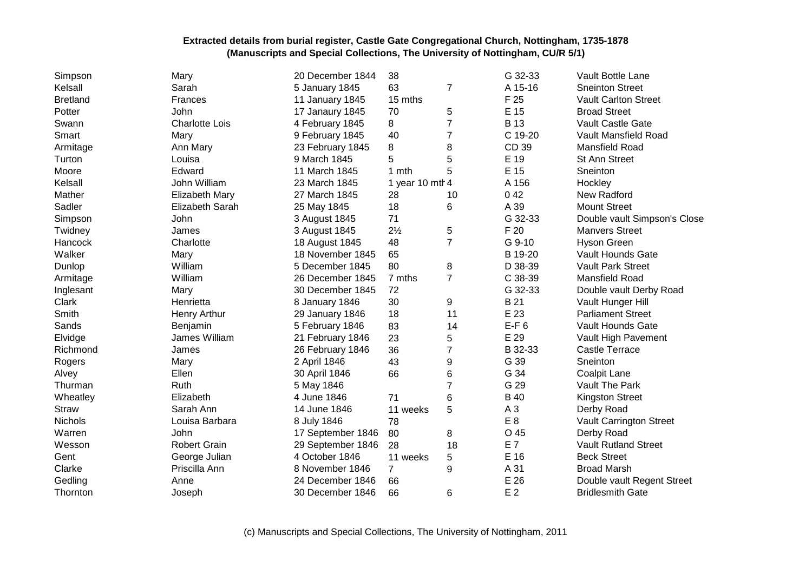| Simpson         | Mary                   | 20 December 1844  | 38              |                  | G 32-33        | <b>Vault Bottle Lane</b>     |
|-----------------|------------------------|-------------------|-----------------|------------------|----------------|------------------------------|
| Kelsall         | Sarah                  | 5 January 1845    | 63              | $\overline{7}$   | A 15-16        | <b>Sneinton Street</b>       |
| <b>Bretland</b> | Frances                | 11 January 1845   | 15 mths         |                  | F 25           | <b>Vault Carlton Street</b>  |
| Potter          | John                   | 17 Janaury 1845   | 70              | 5                | E 15           | <b>Broad Street</b>          |
| Swann           | <b>Charlotte Lois</b>  | 4 February 1845   | 8               | $\overline{7}$   | <b>B</b> 13    | Vault Castle Gate            |
| Smart           | Mary                   | 9 February 1845   | 40              | 7                | C 19-20        | Vault Mansfield Road         |
| Armitage        | Ann Mary               | 23 February 1845  | 8               | 8                | CD 39          | Mansfield Road               |
| Turton          | Louisa                 | 9 March 1845      | 5               | 5                | E 19           | St Ann Street                |
| Moore           | Edward                 | 11 March 1845     | 1 mth           | 5                | E 15           | Sneinton                     |
| Kelsall         | John William           | 23 March 1845     | 1 year 10 mtl 4 |                  | A 156          | Hockley                      |
| Mather          | <b>Elizabeth Mary</b>  | 27 March 1845     | 28              | 10               | 042            | New Radford                  |
| Sadler          | <b>Elizabeth Sarah</b> | 25 May 1845       | 18              | 6                | A 39           | <b>Mount Street</b>          |
| Simpson         | John                   | 3 August 1845     | 71              |                  | G 32-33        | Double vault Simpson's Close |
| Twidney         | James                  | 3 August 1845     | $2\frac{1}{2}$  | 5                | F 20           | <b>Manvers Street</b>        |
| Hancock         | Charlotte              | 18 August 1845    | 48              | $\overline{7}$   | G 9-10         | <b>Hyson Green</b>           |
| Walker          | Mary                   | 18 November 1845  | 65              |                  | B 19-20        | Vault Hounds Gate            |
| Dunlop          | William                | 5 December 1845   | 80              | 8                | D 38-39        | <b>Vault Park Street</b>     |
| Armitage        | William                | 26 December 1845  | 7 mths          | $\overline{7}$   | C 38-39        | Mansfield Road               |
| Inglesant       | Mary                   | 30 December 1845  | 72              |                  | G 32-33        | Double vault Derby Road      |
| Clark           | Henrietta              | 8 January 1846    | 30              | 9                | B 21           | Vault Hunger Hill            |
| Smith           | Henry Arthur           | 29 January 1846   | 18              | 11               | E 23           | <b>Parliament Street</b>     |
| Sands           | Benjamin               | 5 February 1846   | 83              | 14               | $E-F6$         | Vault Hounds Gate            |
| Elvidge         | James William          | 21 February 1846  | 23              | 5                | E 29           | Vault High Pavement          |
| Richmond        | James                  | 26 February 1846  | 36              | $\overline{7}$   | B 32-33        | <b>Castle Terrace</b>        |
| Rogers          | Mary                   | 2 April 1846      | 43              | 9                | G 39           | Sneinton                     |
| Alvey           | Ellen                  | 30 April 1846     | 66              | 6                | G 34           | <b>Coalpit Lane</b>          |
| Thurman         | Ruth                   | 5 May 1846        |                 | $\overline{7}$   | G 29           | Vault The Park               |
| Wheatley        | Elizabeth              | 4 June 1846       | 71              | 6                | <b>B</b> 40    | <b>Kingston Street</b>       |
| <b>Straw</b>    | Sarah Ann              | 14 June 1846      | 11 weeks        | 5                | A <sub>3</sub> | Derby Road                   |
| <b>Nichols</b>  | Louisa Barbara         | 8 July 1846       | 78              |                  | E <sub>8</sub> | Vault Carrington Street      |
| Warren          | John                   | 17 September 1846 | 80              | 8                | O 45           | Derby Road                   |
| Wesson          | <b>Robert Grain</b>    | 29 September 1846 | 28              | 18               | E 7            | <b>Vault Rutland Street</b>  |
| Gent            | George Julian          | 4 October 1846    | 11 weeks        | 5                | E 16           | <b>Beck Street</b>           |
| Clarke          | Priscilla Ann          | 8 November 1846   | $\overline{7}$  | $\boldsymbol{9}$ | A 31           | <b>Broad Marsh</b>           |
| Gedling         | Anne                   | 24 December 1846  | 66              |                  | E 26           | Double vault Regent Street   |
| Thornton        | Joseph                 | 30 December 1846  | 66              | 6                | E <sub>2</sub> | <b>Bridlesmith Gate</b>      |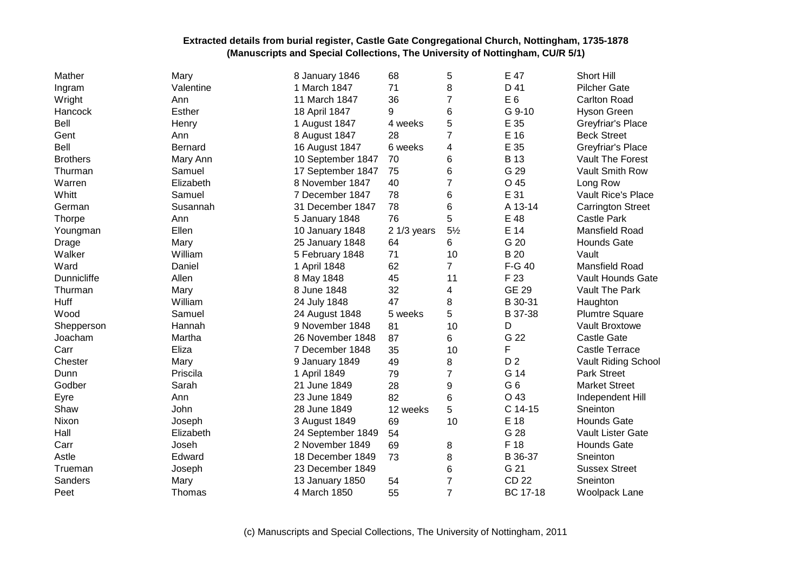| Mather             | Mary          | 8 January 1846    | 68           | 5              | E 47           | Short Hill                |
|--------------------|---------------|-------------------|--------------|----------------|----------------|---------------------------|
| Ingram             | Valentine     | 1 March 1847      | 71           | 8              | D 41           | <b>Pilcher Gate</b>       |
| Wright             | Ann           | 11 March 1847     | 36           | 7              | E <sub>6</sub> | <b>Carlton Road</b>       |
| Hancock            | <b>Esther</b> | 18 April 1847     | 9            | 6              | G 9-10         | <b>Hyson Green</b>        |
| Bell               | Henry         | 1 August 1847     | 4 weeks      | 5              | E 35           | Greyfriar's Place         |
| Gent               | Ann           | 8 August 1847     | 28           | $\overline{7}$ | E 16           | <b>Beck Street</b>        |
| Bell               | Bernard       | 16 August 1847    | 6 weeks      | 4              | E 35           | Greyfriar's Place         |
| <b>Brothers</b>    | Mary Ann      | 10 September 1847 | 70           | 6              | B 13           | Vault The Forest          |
| Thurman            | Samuel        | 17 September 1847 | 75           | 6              | G 29           | Vault Smith Row           |
| Warren             | Elizabeth     | 8 November 1847   | 40           | 7              | O 45           | Long Row                  |
| Whitt              | Samuel        | 7 December 1847   | 78           | 6              | E 31           | <b>Vault Rice's Place</b> |
| German             | Susannah      | 31 December 1847  | 78           | 6              | A 13-14        | <b>Carrington Street</b>  |
| <b>Thorpe</b>      | Ann           | 5 January 1848    | 76           | 5              | E 48           | <b>Castle Park</b>        |
| Youngman           | Ellen         | 10 January 1848   | $21/3$ years | $5\frac{1}{2}$ | E 14           | Mansfield Road            |
| Drage              | Mary          | 25 January 1848   | 64           | 6              | G 20           | <b>Hounds Gate</b>        |
| Walker             | William       | 5 February 1848   | 71           | 10             | <b>B</b> 20    | Vault                     |
| Ward               | Daniel        | 1 April 1848      | 62           | $\overline{7}$ | F-G 40         | Mansfield Road            |
| <b>Dunnicliffe</b> | Allen         | 8 May 1848        | 45           | 11             | F 23           | Vault Hounds Gate         |
| Thurman            | Mary          | 8 June 1848       | 32           | 4              | <b>GE 29</b>   | Vault The Park            |
| Huff               | William       | 24 July 1848      | 47           | 8              | B 30-31        | Haughton                  |
| Wood               | Samuel        | 24 August 1848    | 5 weeks      | 5              | B 37-38        | <b>Plumtre Square</b>     |
| Shepperson         | Hannah        | 9 November 1848   | 81           | 10             | D              | Vault Broxtowe            |
| Joacham            | Martha        | 26 November 1848  | 87           | 6              | G 22           | <b>Castle Gate</b>        |
| Carr               | Eliza         | 7 December 1848   | 35           | 10             | F              | <b>Castle Terrace</b>     |
| Chester            | Mary          | 9 January 1849    | 49           | 8              | D <sub>2</sub> | Vault Riding School       |
| Dunn               | Priscila      | 1 April 1849      | 79           | 7              | G 14           | <b>Park Street</b>        |
| Godber             | Sarah         | 21 June 1849      | 28           | 9              | G <sub>6</sub> | <b>Market Street</b>      |
| Eyre               | Ann           | 23 June 1849      | 82           | 6              | O 43           | Independent Hill          |
| Shaw               | John          | 28 June 1849      | 12 weeks     | 5              | C 14-15        | Sneinton                  |
| Nixon              | Joseph        | 3 August 1849     | 69           | 10             | E 18           | <b>Hounds Gate</b>        |
| Hall               | Elizabeth     | 24 September 1849 | 54           |                | G 28           | Vault Lister Gate         |
| Carr               | Joseh         | 2 November 1849   | 69           | 8              | F 18           | <b>Hounds Gate</b>        |
| Astle              | Edward        | 18 December 1849  | 73           | 8              | B 36-37        | Sneinton                  |
| Trueman            | Joseph        | 23 December 1849  |              | 6              | G 21           | <b>Sussex Street</b>      |
| Sanders            | Mary          | 13 January 1850   | 54           | 7              | <b>CD 22</b>   | Sneinton                  |
| Peet               | Thomas        | 4 March 1850      | 55           | $\overline{7}$ | BC 17-18       | <b>Woolpack Lane</b>      |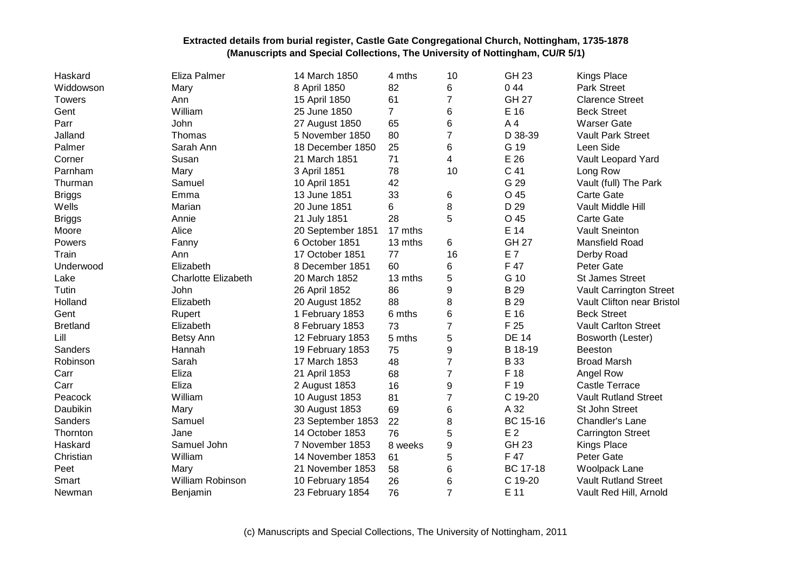| Haskard         | Eliza Palmer               | 14 March 1850     | 4 mths  | 10             | <b>GH 23</b>    | <b>Kings Place</b>             |
|-----------------|----------------------------|-------------------|---------|----------------|-----------------|--------------------------------|
| Widdowson       | Mary                       | 8 April 1850      | 82      | 6              | 044             | Park Street                    |
| <b>Towers</b>   | Ann                        | 15 April 1850     | 61      | 7              | <b>GH 27</b>    | <b>Clarence Street</b>         |
| Gent            | William                    | 25 June 1850      | 7       | 6              | E 16            | <b>Beck Street</b>             |
| Parr            | John                       | 27 August 1850    | 65      | 6              | A <sub>4</sub>  | <b>Warser Gate</b>             |
| Jalland         | Thomas                     | 5 November 1850   | 80      | $\overline{7}$ | D 38-39         | <b>Vault Park Street</b>       |
| Palmer          | Sarah Ann                  | 18 December 1850  | 25      | 6              | G 19            | Leen Side                      |
| Corner          | Susan                      | 21 March 1851     | 71      | 4              | E 26            | Vault Leopard Yard             |
| Parnham         | Mary                       | 3 April 1851      | 78      | 10             | C 41            | Long Row                       |
| Thurman         | Samuel                     | 10 April 1851     | 42      |                | G 29            | Vault (full) The Park          |
| <b>Briggs</b>   | Emma                       | 13 June 1851      | 33      | 6              | O 45            | <b>Carte Gate</b>              |
| Wells           | Marian                     | 20 June 1851      | 6       | 8              | D 29            | Vault Middle Hill              |
| <b>Briggs</b>   | Annie                      | 21 July 1851      | 28      | 5              | O 45            | Carte Gate                     |
| Moore           | Alice                      | 20 September 1851 | 17 mths |                | E 14            | <b>Vault Sneinton</b>          |
| Powers          | Fanny                      | 6 October 1851    | 13 mths | 6              | <b>GH 27</b>    | Mansfield Road                 |
| Train           | Ann                        | 17 October 1851   | 77      | 16             | E 7             | Derby Road                     |
| Underwood       | Elizabeth                  | 8 December 1851   | 60      | 6              | F 47            | Peter Gate                     |
| Lake            | <b>Charlotte Elizabeth</b> | 20 March 1852     | 13 mths | 5              | G 10            | <b>St James Street</b>         |
| Tutin           | John                       | 26 April 1852     | 86      | 9              | <b>B29</b>      | <b>Vault Carrington Street</b> |
| Holland         | Elizabeth                  | 20 August 1852    | 88      | 8              | <b>B29</b>      | Vault Clifton near Bristol     |
| Gent            | Rupert                     | 1 February 1853   | 6 mths  | 6              | E 16            | <b>Beck Street</b>             |
| <b>Bretland</b> | Elizabeth                  | 8 February 1853   | 73      | 7              | F 25            | <b>Vault Carlton Street</b>    |
| Lill            | Betsy Ann                  | 12 February 1853  | 5 mths  | 5              | <b>DE 14</b>    | Bosworth (Lester)              |
| Sanders         | Hannah                     | 19 February 1853  | 75      | 9              | B 18-19         | <b>Beeston</b>                 |
| Robinson        | Sarah                      | 17 March 1853     | 48      | 7              | <b>B</b> 33     | <b>Broad Marsh</b>             |
| Carr            | Eliza                      | 21 April 1853     | 68      | $\overline{7}$ | F 18            | Angel Row                      |
| Carr            | Eliza                      | 2 August 1853     | 16      | 9              | F 19            | <b>Castle Terrace</b>          |
| Peacock         | William                    | 10 August 1853    | 81      | $\overline{7}$ | C 19-20         | <b>Vault Rutland Street</b>    |
| Daubikin        | Mary                       | 30 August 1853    | 69      | 6              | A 32            | St John Street                 |
| Sanders         | Samuel                     | 23 September 1853 | 22      | 8              | BC 15-16        | Chandler's Lane                |
| Thornton        | Jane                       | 14 October 1853   | 76      | 5              | E <sub>2</sub>  | <b>Carrington Street</b>       |
| Haskard         | Samuel John                | 7 November 1853   | 8 weeks | 9              | <b>GH 23</b>    | Kings Place                    |
| Christian       | William                    | 14 November 1853  | 61      | 5              | F 47            | Peter Gate                     |
| Peet            | Mary                       | 21 November 1853  | 58      | 6              | <b>BC 17-18</b> | Woolpack Lane                  |
| Smart           | William Robinson           | 10 February 1854  | 26      | 6              | C 19-20         | <b>Vault Rutland Street</b>    |
| Newman          | Benjamin                   | 23 February 1854  | 76      | $\overline{7}$ | E 11            | Vault Red Hill, Arnold         |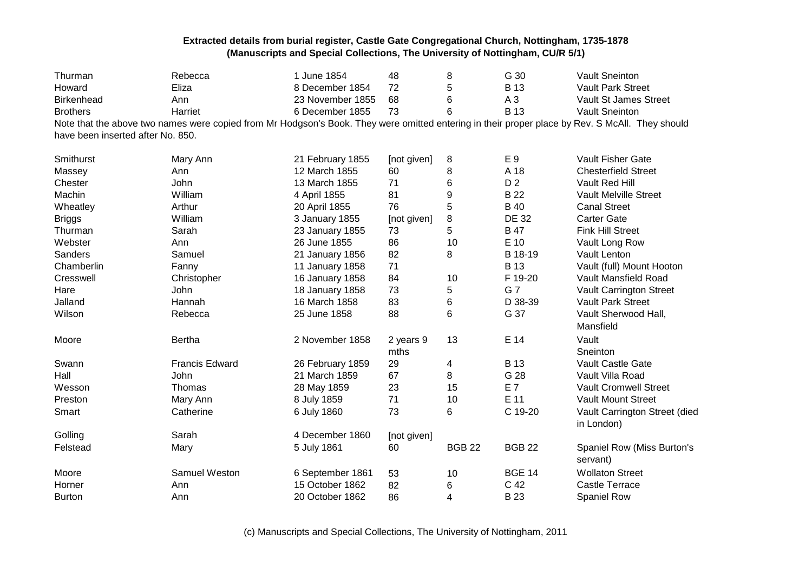| Thurman                           | Rebecca               | 1 June 1854      | 48                | 8             | G 30           | <b>Vault Sneinton</b>                                                                                                                           |
|-----------------------------------|-----------------------|------------------|-------------------|---------------|----------------|-------------------------------------------------------------------------------------------------------------------------------------------------|
| Howard                            | Eliza                 | 8 December 1854  | 72                | 5             | <b>B</b> 13    | <b>Vault Park Street</b>                                                                                                                        |
| <b>Birkenhead</b>                 | Ann                   | 23 November 1855 | 68                | 6             | $A_3$          | Vault St James Street                                                                                                                           |
| <b>Brothers</b>                   | Harriet               | 6 December 1855  | 73                | 6             | <b>B</b> 13    | <b>Vault Sneinton</b>                                                                                                                           |
|                                   |                       |                  |                   |               |                | Note that the above two names were copied from Mr Hodgson's Book. They were omitted entering in their proper place by Rev. S McAll. They should |
| have been inserted after No. 850. |                       |                  |                   |               |                |                                                                                                                                                 |
| Smithurst                         | Mary Ann              | 21 February 1855 | [not given]       | 8             | E 9            | Vault Fisher Gate                                                                                                                               |
| Massey                            | Ann                   | 12 March 1855    | 60                | 8             | A 18           | <b>Chesterfield Street</b>                                                                                                                      |
| Chester                           | John                  | 13 March 1855    | 71                | 6             | D <sub>2</sub> | Vault Red Hill                                                                                                                                  |
| Machin                            | William               | 4 April 1855     | 81                | 9             | <b>B22</b>     | Vault Melville Street                                                                                                                           |
| Wheatley                          | Arthur                | 20 April 1855    | 76                | 5             | <b>B</b> 40    | <b>Canal Street</b>                                                                                                                             |
| <b>Briggs</b>                     | William               | 3 January 1855   | [not given]       | 8             | <b>DE 32</b>   | <b>Carter Gate</b>                                                                                                                              |
| Thurman                           | Sarah                 | 23 January 1855  | 73                | 5             | <b>B</b> 47    | <b>Fink Hill Street</b>                                                                                                                         |
| Webster                           | Ann                   | 26 June 1855     | 86                | 10            | E 10           | Vault Long Row                                                                                                                                  |
| Sanders                           | Samuel                | 21 January 1856  | 82                | 8             | B 18-19        | Vault Lenton                                                                                                                                    |
| Chamberlin                        | Fanny                 | 11 January 1858  | 71                |               | <b>B</b> 13    | Vault (full) Mount Hooton                                                                                                                       |
| Cresswell                         | Christopher           | 16 January 1858  | 84                | 10            | F 19-20        | Vault Mansfield Road                                                                                                                            |
| Hare                              | John                  | 18 January 1858  | 73                | 5             | G 7            | Vault Carrington Street                                                                                                                         |
| Jalland                           | Hannah                | 16 March 1858    | 83                | 6             | D 38-39        | Vault Park Street                                                                                                                               |
| Wilson                            | Rebecca               | 25 June 1858     | 88                | 6             | G 37           | Vault Sherwood Hall,<br>Mansfield                                                                                                               |
| Moore                             | <b>Bertha</b>         | 2 November 1858  | 2 years 9<br>mths | 13            | E 14           | Vault<br>Sneinton                                                                                                                               |
| Swann                             | <b>Francis Edward</b> | 26 February 1859 | 29                | 4             | <b>B</b> 13    | Vault Castle Gate                                                                                                                               |
| Hall                              | John                  | 21 March 1859    | 67                | 8             | G 28           | Vault Villa Road                                                                                                                                |
| Wesson                            | Thomas                | 28 May 1859      | 23                | 15            | E 7            | <b>Vault Cromwell Street</b>                                                                                                                    |
| Preston                           | Mary Ann              | 8 July 1859      | 71                | 10            | E 11           | <b>Vault Mount Street</b>                                                                                                                       |
| Smart                             | Catherine             | 6 July 1860      | 73                | 6             | C 19-20        | Vault Carrington Street (died<br>in London)                                                                                                     |
| Golling                           | Sarah                 | 4 December 1860  | [not given]       |               |                |                                                                                                                                                 |
| Felstead                          | Mary                  | 5 July 1861      | 60                | <b>BGB 22</b> | <b>BGB 22</b>  | Spaniel Row (Miss Burton's<br>servant)                                                                                                          |
| Moore                             | Samuel Weston         | 6 September 1861 | 53                | 10            | <b>BGE 14</b>  | <b>Wollaton Street</b>                                                                                                                          |
| Horner                            | Ann                   | 15 October 1862  | 82                | 6             | C 42           | <b>Castle Terrace</b>                                                                                                                           |
| <b>Burton</b>                     | Ann                   | 20 October 1862  | 86                | 4             | <b>B23</b>     | <b>Spaniel Row</b>                                                                                                                              |